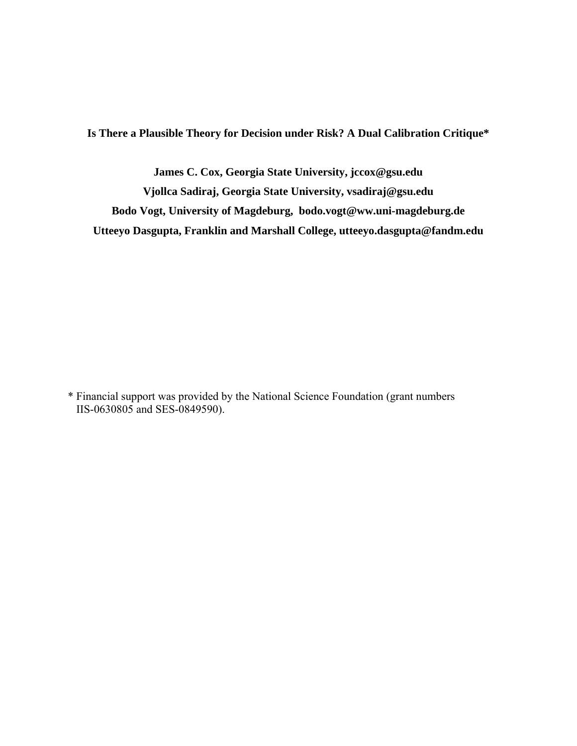**Is There a Plausible Theory for Decision under Risk? A Dual Calibration Critique\*** 

**James C. Cox, Georgia State University, jccox@gsu.edu Vjollca Sadiraj, Georgia State University, vsadiraj@gsu.edu Bodo Vogt, University of Magdeburg, bodo.vogt@ww.uni-magdeburg.de Utteeyo Dasgupta, Franklin and Marshall College, utteeyo.dasgupta@fandm.edu** 

\* Financial support was provided by the National Science Foundation (grant numbers IIS-0630805 and SES-0849590).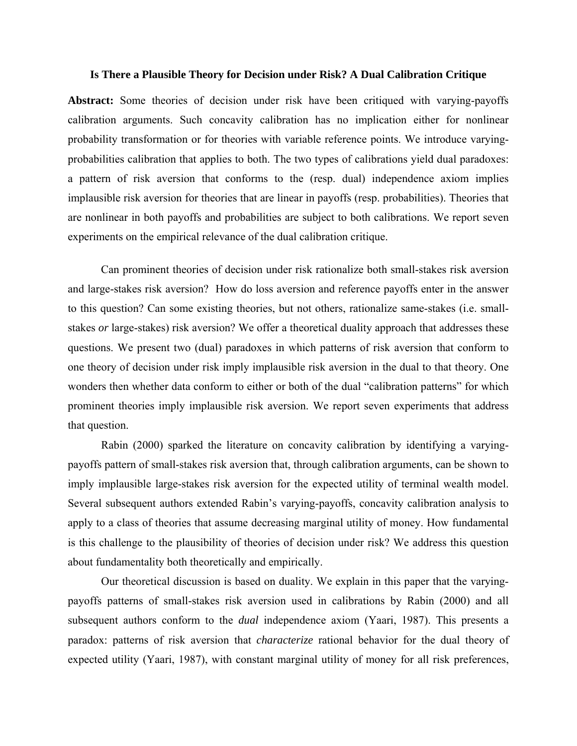#### **Is There a Plausible Theory for Decision under Risk? A Dual Calibration Critique**

**Abstract:** Some theories of decision under risk have been critiqued with varying-payoffs calibration arguments. Such concavity calibration has no implication either for nonlinear probability transformation or for theories with variable reference points. We introduce varyingprobabilities calibration that applies to both. The two types of calibrations yield dual paradoxes: a pattern of risk aversion that conforms to the (resp. dual) independence axiom implies implausible risk aversion for theories that are linear in payoffs (resp. probabilities). Theories that are nonlinear in both payoffs and probabilities are subject to both calibrations. We report seven experiments on the empirical relevance of the dual calibration critique.

Can prominent theories of decision under risk rationalize both small-stakes risk aversion and large-stakes risk aversion? How do loss aversion and reference payoffs enter in the answer to this question? Can some existing theories, but not others, rationalize same-stakes (i.e. smallstakes *or* large-stakes) risk aversion? We offer a theoretical duality approach that addresses these questions. We present two (dual) paradoxes in which patterns of risk aversion that conform to one theory of decision under risk imply implausible risk aversion in the dual to that theory. One wonders then whether data conform to either or both of the dual "calibration patterns" for which prominent theories imply implausible risk aversion. We report seven experiments that address that question.

Rabin (2000) sparked the literature on concavity calibration by identifying a varyingpayoffs pattern of small-stakes risk aversion that, through calibration arguments, can be shown to imply implausible large-stakes risk aversion for the expected utility of terminal wealth model. Several subsequent authors extended Rabin's varying-payoffs, concavity calibration analysis to apply to a class of theories that assume decreasing marginal utility of money. How fundamental is this challenge to the plausibility of theories of decision under risk? We address this question about fundamentality both theoretically and empirically.

Our theoretical discussion is based on duality. We explain in this paper that the varyingpayoffs patterns of small-stakes risk aversion used in calibrations by Rabin (2000) and all subsequent authors conform to the *dual* independence axiom (Yaari, 1987). This presents a paradox: patterns of risk aversion that *characterize* rational behavior for the dual theory of expected utility (Yaari, 1987), with constant marginal utility of money for all risk preferences,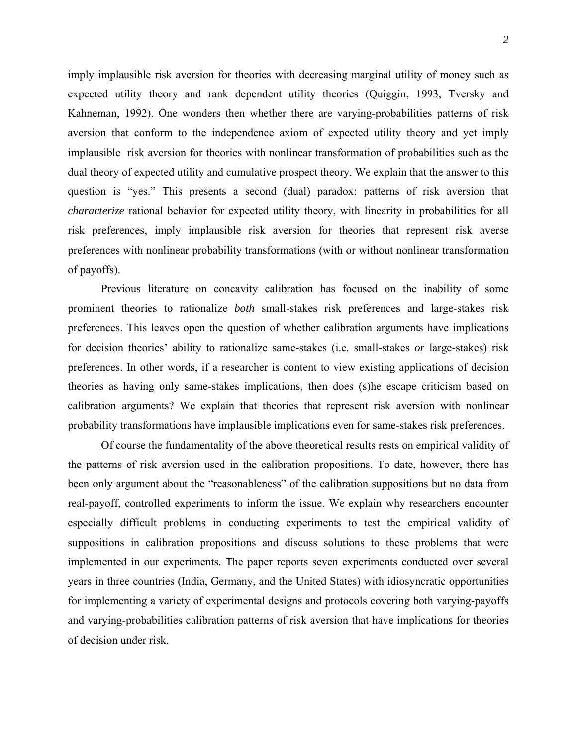imply implausible risk aversion for theories with decreasing marginal utility of money such as expected utility theory and rank dependent utility theories (Quiggin, 1993, Tversky and Kahneman, 1992). One wonders then whether there are varying-probabilities patterns of risk aversion that conform to the independence axiom of expected utility theory and yet imply implausible risk aversion for theories with nonlinear transformation of probabilities such as the dual theory of expected utility and cumulative prospect theory. We explain that the answer to this question is "yes." This presents a second (dual) paradox: patterns of risk aversion that *characterize* rational behavior for expected utility theory, with linearity in probabilities for all risk preferences, imply implausible risk aversion for theories that represent risk averse preferences with nonlinear probability transformations (with or without nonlinear transformation of payoffs).

Previous literature on concavity calibration has focused on the inability of some prominent theories to rationalize *both* small-stakes risk preferences and large-stakes risk preferences. This leaves open the question of whether calibration arguments have implications for decision theories' ability to rationalize same-stakes (i.e. small-stakes *or* large-stakes) risk preferences. In other words, if a researcher is content to view existing applications of decision theories as having only same-stakes implications, then does (s)he escape criticism based on calibration arguments? We explain that theories that represent risk aversion with nonlinear probability transformations have implausible implications even for same-stakes risk preferences.

Of course the fundamentality of the above theoretical results rests on empirical validity of the patterns of risk aversion used in the calibration propositions. To date, however, there has been only argument about the "reasonableness" of the calibration suppositions but no data from real-payoff, controlled experiments to inform the issue. We explain why researchers encounter especially difficult problems in conducting experiments to test the empirical validity of suppositions in calibration propositions and discuss solutions to these problems that were implemented in our experiments. The paper reports seven experiments conducted over several years in three countries (India, Germany, and the United States) with idiosyncratic opportunities for implementing a variety of experimental designs and protocols covering both varying-payoffs and varying-probabilities calibration patterns of risk aversion that have implications for theories of decision under risk.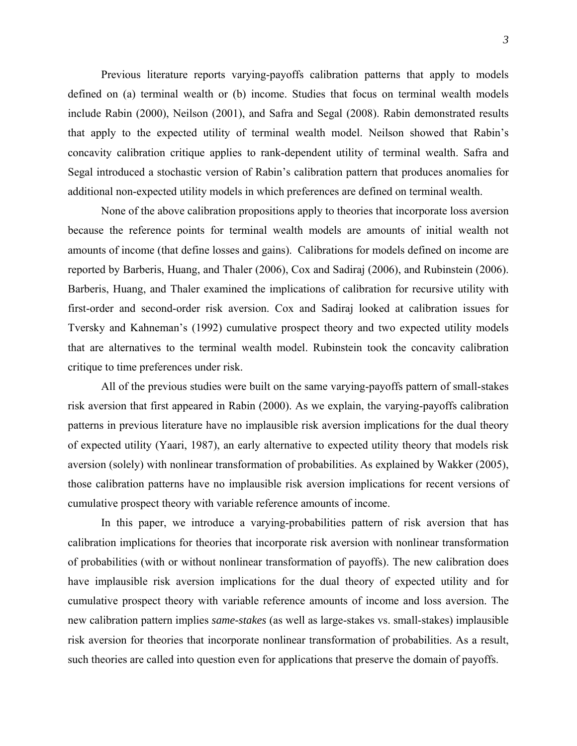Previous literature reports varying-payoffs calibration patterns that apply to models defined on (a) terminal wealth or (b) income. Studies that focus on terminal wealth models include Rabin (2000), Neilson (2001), and Safra and Segal (2008). Rabin demonstrated results that apply to the expected utility of terminal wealth model. Neilson showed that Rabin's concavity calibration critique applies to rank-dependent utility of terminal wealth. Safra and Segal introduced a stochastic version of Rabin's calibration pattern that produces anomalies for additional non-expected utility models in which preferences are defined on terminal wealth.

None of the above calibration propositions apply to theories that incorporate loss aversion because the reference points for terminal wealth models are amounts of initial wealth not amounts of income (that define losses and gains). Calibrations for models defined on income are reported by Barberis, Huang, and Thaler (2006), Cox and Sadiraj (2006), and Rubinstein (2006). Barberis, Huang, and Thaler examined the implications of calibration for recursive utility with first-order and second-order risk aversion. Cox and Sadiraj looked at calibration issues for Tversky and Kahneman's (1992) cumulative prospect theory and two expected utility models that are alternatives to the terminal wealth model. Rubinstein took the concavity calibration critique to time preferences under risk.

All of the previous studies were built on the same varying-payoffs pattern of small-stakes risk aversion that first appeared in Rabin (2000). As we explain, the varying-payoffs calibration patterns in previous literature have no implausible risk aversion implications for the dual theory of expected utility (Yaari, 1987), an early alternative to expected utility theory that models risk aversion (solely) with nonlinear transformation of probabilities. As explained by Wakker (2005), those calibration patterns have no implausible risk aversion implications for recent versions of cumulative prospect theory with variable reference amounts of income.

In this paper, we introduce a varying-probabilities pattern of risk aversion that has calibration implications for theories that incorporate risk aversion with nonlinear transformation of probabilities (with or without nonlinear transformation of payoffs). The new calibration does have implausible risk aversion implications for the dual theory of expected utility and for cumulative prospect theory with variable reference amounts of income and loss aversion. The new calibration pattern implies *same-stakes* (as well as large-stakes vs. small-stakes) implausible risk aversion for theories that incorporate nonlinear transformation of probabilities. As a result, such theories are called into question even for applications that preserve the domain of payoffs.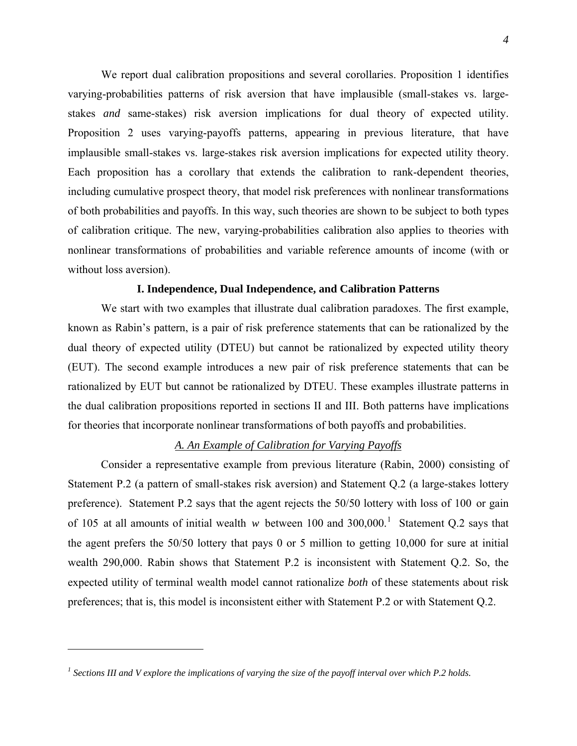We report dual calibration propositions and several corollaries. Proposition 1 identifies varying-probabilities patterns of risk aversion that have implausible (small-stakes vs. largestakes *and* same-stakes) risk aversion implications for dual theory of expected utility. Proposition 2 uses varying-payoffs patterns, appearing in previous literature, that have implausible small-stakes vs. large-stakes risk aversion implications for expected utility theory. Each proposition has a corollary that extends the calibration to rank-dependent theories, including cumulative prospect theory, that model risk preferences with nonlinear transformations of both probabilities and payoffs. In this way, such theories are shown to be subject to both types of calibration critique. The new, varying-probabilities calibration also applies to theories with nonlinear transformations of probabilities and variable reference amounts of income (with or without loss aversion).

## **I. Independence, Dual Independence, and Calibration Patterns**

We start with two examples that illustrate dual calibration paradoxes. The first example, known as Rabin's pattern, is a pair of risk preference statements that can be rationalized by the dual theory of expected utility (DTEU) but cannot be rationalized by expected utility theory (EUT). The second example introduces a new pair of risk preference statements that can be rationalized by EUT but cannot be rationalized by DTEU. These examples illustrate patterns in the dual calibration propositions reported in sections II and III. Both patterns have implications for theories that incorporate nonlinear transformations of both payoffs and probabilities.

# *A. An Example of Calibration for Varying Payoffs*

Consider a representative example from previous literature (Rabin, 2000) consisting of Statement P.2 (a pattern of small-stakes risk aversion) and Statement Q.2 (a large-stakes lottery preference). Statement P.2 says that the agent rejects the 50/50 lottery with loss of 100 or gain of [1](#page-4-0)05 at all amounts of initial wealth  $w$  between 100 and 300,000.<sup>1</sup> Statement Q.2 says that the agent prefers the 50/50 lottery that pays 0 or 5 million to getting 10,000 for sure at initial wealth 290,000. Rabin shows that Statement P.2 is inconsistent with Statement Q.2. So, the expected utility of terminal wealth model cannot rationalize *both* of these statements about risk preferences; that is, this model is inconsistent either with Statement P.2 or with Statement Q.2.

<span id="page-4-0"></span><sup>&</sup>lt;sup>1</sup> Sections III and V explore the implications of varying the size of the payoff interval over which P.2 holds.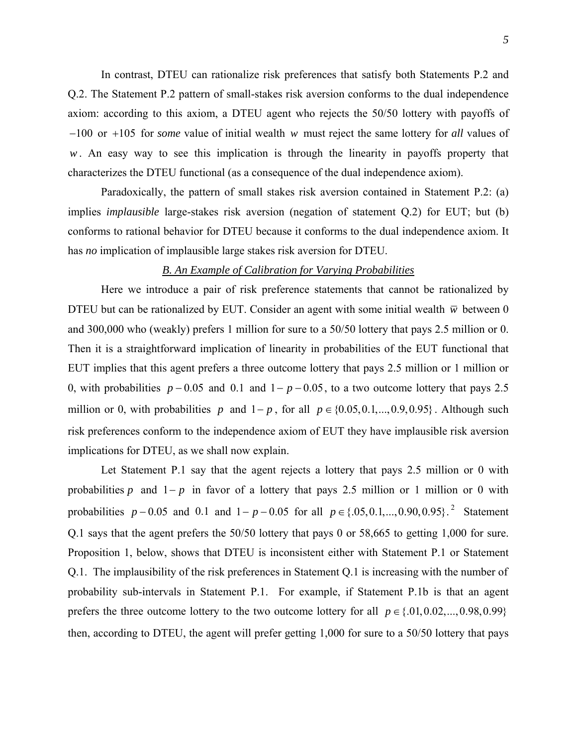In contrast, DTEU can rationalize risk preferences that satisfy both Statements P.2 and Q.2. The Statement P.2 pattern of small-stakes risk aversion conforms to the dual independence axiom: according to this axiom, a DTEU agent who rejects the 50/50 lottery with payoffs of  $-100$  or  $+105$  for *some* value of initial wealth w must reject the same lottery for *all* values of . An easy way to see this implication is through the linearity in payoffs property that *w* characterizes the DTEU functional (as a consequence of the dual independence axiom).

Paradoxically, the pattern of small stakes risk aversion contained in Statement P.2: (a) implies *implausible* large-stakes risk aversion (negation of statement Q.2) for EUT; but (b) conforms to rational behavior for DTEU because it conforms to the dual independence axiom. It has *no* implication of implausible large stakes risk aversion for DTEU.

# *B. An Example of Calibration for Varying Probabilities*

Here we introduce a pair of risk preference statements that cannot be rationalized by DTEU but can be rationalized by EUT. Consider an agent with some initial wealth  $\bar{w}$  between 0 and 300,000 who (weakly) prefers 1 million for sure to a 50/50 lottery that pays 2.5 million or 0. Then it is a straightforward implication of linearity in probabilities of the EUT functional that EUT implies that this agent prefers a three outcome lottery that pays 2.5 million or 1 million or 0, with probabilities  $p - 0.05$  and 0.1 and  $1 - p - 0.05$ , to a two outcome lottery that pays 2.5 million or 0, with probabilities *p* and  $1-p$ , for all  $p \in \{0.05, 0.1, ..., 0.9, 0.95\}$ . Although such risk preferences conform to the independence axiom of EUT they have implausible risk aversion implications for DTEU, as we shall now explain.

<span id="page-5-0"></span>Let Statement P.1 say that the agent rejects a lottery that pays 2.5 million or 0 with probabilities p and  $1-p$  in favor of a lottery that pays 2.5 million or 1 million or 0 with probabilities  $p - 0.05$  and 0.1 and  $1 - p - 0.05$  for all  $p \in \{.05, 0.1, ..., 0.90, 0.95\}$ .<sup>2</sup> Statement [Q.1 says that the agent prefers the 50/50 lottery that pays 0 or 58,665 to getting 1,000 for sure.](#page-5-0)  [Proposition 1, below, shows that DTEU is inconsistent either with Statement P.1 or Statement](#page-5-0)  [Q.1. The implausibility of the risk preferences in Statement Q.1 is increasing with the number of](#page-5-0)  probability sub-intervals in Statement P.1. For example, if Statement P.1b is that an agent prefers the three outcome lottery to the two outcome lottery for all  $p \in \{.01, 0.02, ..., 0.98, 0.99\}$ then, according to DTEU, the agent will prefer getting 1,000 for sure to a 50/50 lottery that pays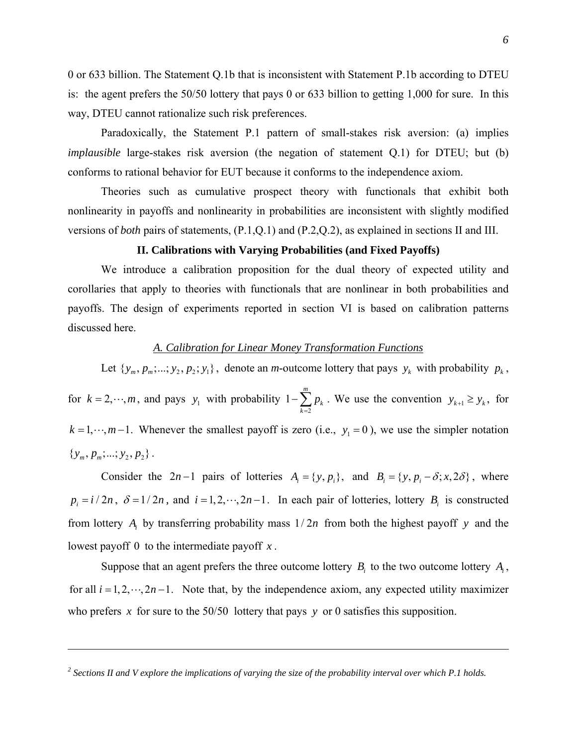0 or 633 billion. The Statement Q.1b that is inconsistent with Statement P.1b according to DTEU is: the agent prefers the 50/50 lottery that pays 0 or 633 billion to getting 1,000 for sure. In this way, DTEU cannot rationalize such risk preferences.

Paradoxically, the Statement P.1 pattern of small-stakes risk aversion: (a) implies *implausible* large-stakes risk aversion (the negation of statement Q.1) for DTEU; but (b) conforms to rational behavior for EUT because it conforms to the independence axiom.

Theories such as cumulative prospect theory with functionals that exhibit both nonlinearity in payoffs and nonlinearity in probabilities are inconsistent with slightly modified versions of *both* pairs of statements, (P.1,Q.1) and (P.2,Q.2), as explained in sections II and III.

## **II. Calibrations with Varying Probabilities (and Fixed Payoffs)**

We introduce a calibration proposition for the dual theory of expected utility and corollaries that apply to theories with functionals that are nonlinear in both probabilities and payoffs. The design of experiments reported in section VI is based on calibration patterns discussed here.

# *A. Calibration for Linear Money Transformation Functions*

Let  $\{y_m, p_m; \ldots; y_2, p_2; y_1\}$ , denote an *m*-outcome lottery that pays  $y_k$  with probability  $p_k$ , for  $k = 2, \dots, m$ , and pays  $y_1$  with probability 2 1 *m k k p*  $-\sum_{k=2} p_k$ . We use the convention  $y_{k+1} \ge y_k$ , for  $k = 1, \dots, m-1$ . Whenever the smallest payoff is zero (i.e.,  $y_1 = 0$ ), we use the simpler notation  $\{y_m, p_m; \dots; y_2, p_3\}.$ 

Consider the  $2n-1$  pairs of lotteries  $A_i = \{y, p_i\}$ , and  $B_i = \{y, p_i - \delta; x, 2\delta\}$ , where  $p_i = i/2n$ ,  $\delta = 1/2n$ , and  $i = 1, 2, \dots, 2n - 1$ . In each pair of lotteries, lottery  $B_i$  is constructed from lottery  $A_i$  by transferring probability mass  $1/2n$  from both the highest payoff *y* and the lowest payoff 0 to the intermediate payoff *x* .

Suppose that an agent prefers the three outcome lottery  $B_i$  to the two outcome lottery  $A_i$ , for all  $i = 1, 2, \dots, 2n - 1$ . Note that, by the independence axiom, any expected utility maximizer who prefers *x* for sure to the 50/50 lottery that pays *y* or 0 satisfies this supposition.

<sup>&</sup>lt;sup>2</sup> Sections II and V explore the implications of varying the size of the probability interval over which P.1 holds.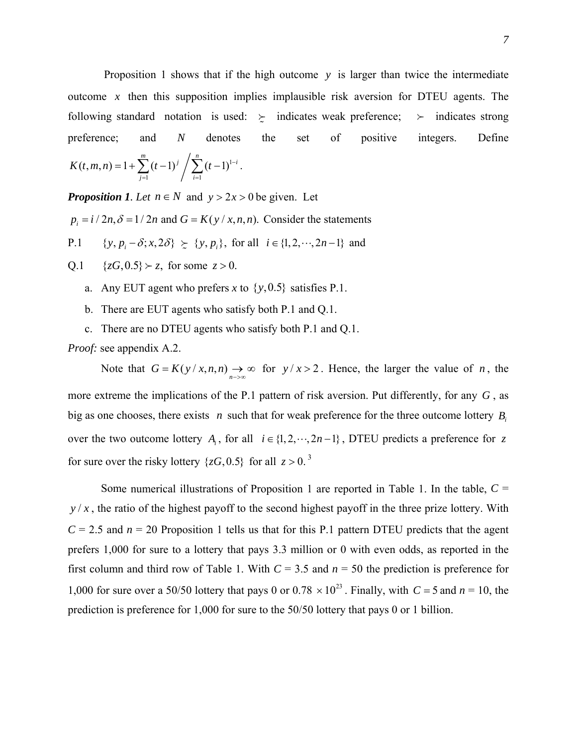Proposition 1 shows that if the high outcome *y* is larger than twice the intermediate outcome *x* then this supposition implies implausible risk aversion for DTEU agents. The following standard notation is used:  $\geq$  indicates weak preference;  $\geq$  indicates strong preference; and *N* denotes the set of positive integers. Define  $\ddot{\phantom{0}}$ 

$$
K(t,m,n)=1+\sum_{j=1}^m (t-1)^j/\sum_{i=1}^n (t-1)^{1-i}.
$$

*Proposition 1. Let*  $n \in N$  and  $y > 2x > 0$  be given. Let

 $p_i = i/2n$ ,  $\delta = 1/2n$  and  $G = K(y/x, n, n)$ . Consider the statements

P.1 {  $y, p_i - \delta; x, 2\delta$ }  $\succeq$  {  $y, p_i$ }, for all  $i \in \{1, 2, \dots, 2n-1\}$  and

 $Q.1 \quad \{zG, 0.5\} \succ z$ , for some  $z > 0$ .

- a. Any EUT agent who prefers *x* to  $\{y, 0.5\}$  satisfies P.1.
- b. There are EUT agents who satisfy both P.1 and Q.1.
- c. There are no DTEU agents who satisfy both P.1 and Q.1.

*Proof:* see appendix A.2.

Note that  $G = K(y/x, n, n) \rightarrow \infty$  for  $y/x > 2$ . Hence, the larger the value of *n*, the more extreme the implications of the P.1 pattern of risk aversion. Put differently, for any *G* , as big as one chooses, there exists *n* such that for weak preference for the three outcome lottery  $B_i$ over the two outcome lottery  $A_i$ , for all  $i \in \{1, 2, \dots, 2n-1\}$ , DTEU predicts a preference for z for sure over the risky lottery  $\{zG, 0.5\}$  for all  $z > 0$ .<sup>3</sup>

Some numerical illustrations of Proposition 1 are reported in Table 1. In the table,  $C =$  $y/x$ , the ratio of the highest payoff to the second highest payoff in the three prize lottery. With  $C = 2.5$  and  $n = 20$  Proposition 1 tells us that for this P.1 pattern DTEU predicts that the agent prefers 1,000 for sure to a lottery that pays 3.3 million or 0 with even odds, as reported in the first column and third row of Table 1. With  $C = 3.5$  and  $n = 50$  the prediction is preference for 1,000 for sure over a 50/50 lottery that pays 0 or  $0.78 \times 10^{23}$ . Finally, with  $C = 5$  and  $n = 10$ , the prediction is preference for 1,000 for sure to the 50/50 lottery that pays 0 or 1 billion.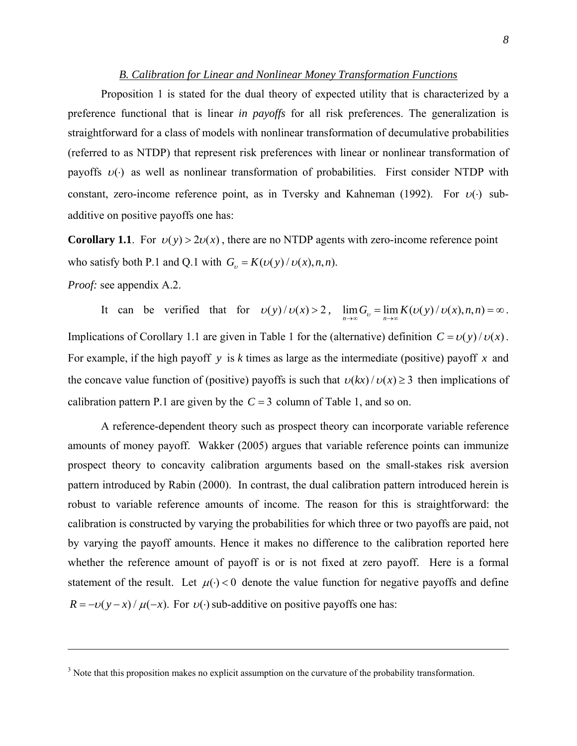### *B. Calibration for Linear and Nonlinear Money Transformation Functions*

Proposition 1 is stated for the dual theory of expected utility that is characterized by a preference functional that is linear *in payoffs* for all risk preferences. The generalization is straightforward for a class of models with nonlinear transformation of decumulative probabilities (referred to as NTDP) that represent risk preferences with linear or nonlinear transformation of payoffs  $v(\cdot)$  as well as nonlinear transformation of probabilities. First consider NTDP with constant, zero-income reference point, as in Tversky and Kahneman (1992). For  $v(\cdot)$  subadditive on positive payoffs one has:

**Corollary 1.1**. For  $v(y) > 2v(x)$ , there are no NTDP agents with zero-income reference point who satisfy both P.1 and Q.1 with  $G_v = K(v(y) / v(x), n, n)$ . *Proof:* see appendix A.2.

It can be verified that for  $v(y) / v(x) > 2$ ,  $\lim_{n \to \infty} G_v = \lim_{n \to \infty} K(v(y) / v(x), n, n) = \infty$ . Implications of Corollary 1.1 are given in Table 1 for the (alternative) definition  $C = v(y)/v(x)$ . For example, if the high payoff *y* is *k* times as large as the intermediate (positive) payoff *x* and the concave value function of (positive) payoffs is such that  $v(kx)/v(x) \ge 3$  then implications of calibration pattern P.1 are given by the  $C = 3$  column of Table 1, and so on.

A reference-dependent theory such as prospect theory can incorporate variable reference amounts of money payoff. Wakker (2005) argues that variable reference points can immunize prospect theory to concavity calibration arguments based on the small-stakes risk aversion pattern introduced by Rabin (2000). In contrast, the dual calibration pattern introduced herein is robust to variable reference amounts of income. The reason for this is straightforward: the calibration is constructed by varying the probabilities for which three or two payoffs are paid, not by varying the payoff amounts. Hence it makes no difference to the calibration reported here whether the reference amount of payoff is or is not fixed at zero payoff. Here is a formal statement of the result. Let  $\mu(\cdot) < 0$  denote the value function for negative payoffs and define  $R = -v(y-x)/\mu(-x)$ . For  $v(\cdot)$  sub-additive on positive payoffs one has:

 $3$  Note that this proposition makes no explicit assumption on the curvature of the probability transformation.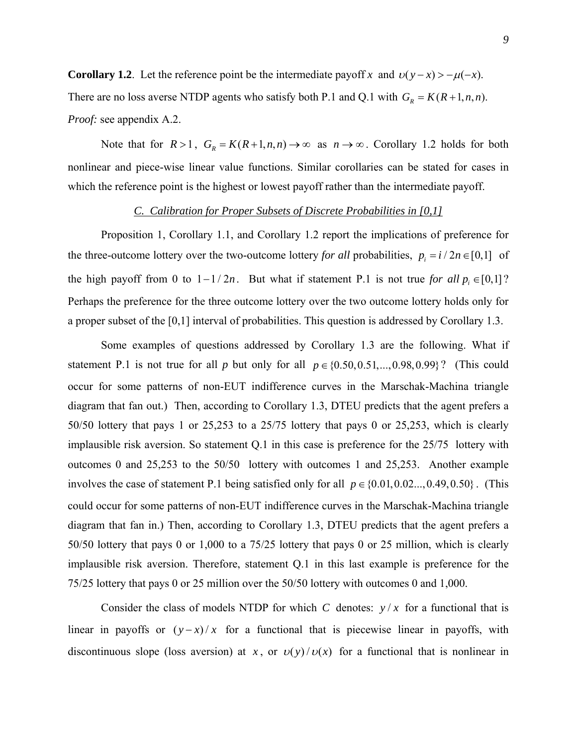**Corollary 1.2**. Let the reference point be the intermediate payoff *x* and  $v(y-x) > -\mu(-x)$ . There are no loss averse NTDP agents who satisfy both P.1 and Q.1 with  $G_R = K(R+1, n, n)$ . *Proof:* see appendix A.2.

Note that for  $R > 1$ ,  $G_R = K(R+1, n, n) \rightarrow \infty$  as  $n \rightarrow \infty$ . Corollary 1.2 holds for both nonlinear and piece-wise linear value functions. Similar corollaries can be stated for cases in which the reference point is the highest or lowest payoff rather than the intermediate payoff.

## *C. Calibration for Proper Subsets of Discrete Probabilities in [0,1]*

Proposition 1, Corollary 1.1, and Corollary 1.2 report the implications of preference for the three-outcome lottery over the two-outcome lottery *for all* probabilities,  $p_i = i/2n \in [0,1]$  of the high payoff from 0 to  $1 - 1/2n$ . But what if statement P.1 is not true *for all*  $p_i \in [0,1]$ ? Perhaps the preference for the three outcome lottery over the two outcome lottery holds only for a proper subset of the [0,1] interval of probabilities. This question is addressed by Corollary 1.3.

Some examples of questions addressed by Corollary 1.3 are the following. What if statement P.1 is not true for all *p* but only for all  $p \in \{0.50, 0.51, ..., 0.98, 0.99\}$ ? (This could occur for some patterns of non-EUT indifference curves in the Marschak-Machina triangle diagram that fan out.) Then, according to Corollary 1.3, DTEU predicts that the agent prefers a 50/50 lottery that pays 1 or 25,253 to a 25/75 lottery that pays 0 or 25,253, which is clearly implausible risk aversion. So statement Q.1 in this case is preference for the 25/75 lottery with outcomes 0 and 25,253 to the 50/50 lottery with outcomes 1 and 25,253. Another example involves the case of statement P.1 being satisfied only for all  $p \in \{0.01, 0.02, ..., 0.49, 0.50\}$ . (This could occur for some patterns of non-EUT indifference curves in the Marschak-Machina triangle diagram that fan in.) Then, according to Corollary 1.3, DTEU predicts that the agent prefers a 50/50 lottery that pays 0 or 1,000 to a 75/25 lottery that pays 0 or 25 million, which is clearly implausible risk aversion. Therefore, statement Q.1 in this last example is preference for the 75/25 lottery that pays 0 or 25 million over the 50/50 lottery with outcomes 0 and 1,000.

Consider the class of models NTDP for which *C* denotes:  $y/x$  for a functional that is linear in payoffs or  $(y-x)/x$  for a functional that is piecewise linear in payoffs, with discontinuous slope (loss aversion) at *x*, or  $v(y) / v(x)$  for a functional that is nonlinear in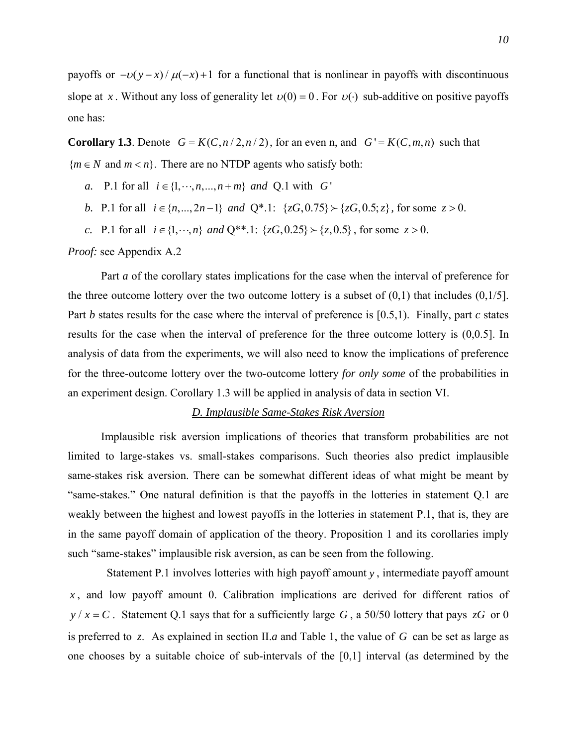payoffs or  $-v(y-x)/\mu(-x)+1$  for a functional that is nonlinear in payoffs with discontinuous slope at *x*. Without any loss of generality let  $v(0) = 0$ . For  $v(\cdot)$  sub-additive on positive payoffs one has:

**Corollary 1.3**. Denote  $G = K(C, n/2, n/2)$ , for an even n, and  $G' = K(C, m, n)$  such that  ${m \in N}$  and  $m < n$ . There are no NTDP agents who satisfy both:

*a*. P.1 for all  $i \in \{1, \dots, n, ..., n+m\}$  *and* Q.1 with *G* 

- *b*. P.1 for all  $i \in \{n, ..., 2n-1\}$  and  $Q^*$ .1:  $\{zG, 0.75\} \succ \{zG, 0.5; z\}$ , for some  $z > 0$ .
- *c*. P.1 for all  $i \in \{1, \dots, n\}$  *and*  $Q^{**}$ .1:  $\{zG, 0.25\} \succ \{z, 0.5\}$ , for some  $z > 0$ .

*Proof:* see Appendix A.2

Part *a* of the corollary states implications for the case when the interval of preference for the three outcome lottery over the two outcome lottery is a subset of  $(0,1)$  that includes  $(0,1/5]$ . Part *b* states results for the case where the interval of preference is [0.5,1). Finally, part *c* states results for the case when the interval of preference for the three outcome lottery is (0,0.5]. In analysis of data from the experiments, we will also need to know the implications of preference for the three-outcome lottery over the two-outcome lottery *for only some* of the probabilities in an experiment design. Corollary 1.3 will be applied in analysis of data in section VI.

## *D. Implausible Same-Stakes Risk Aversion*

Implausible risk aversion implications of theories that transform probabilities are not limited to large-stakes vs. small-stakes comparisons. Such theories also predict implausible same-stakes risk aversion. There can be somewhat different ideas of what might be meant by "same-stakes." One natural definition is that the payoffs in the lotteries in statement Q.1 are weakly between the highest and lowest payoffs in the lotteries in statement P.1, that is, they are in the same payoff domain of application of the theory. Proposition 1 and its corollaries imply such "same-stakes" implausible risk aversion, as can be seen from the following.

 Statement P.1 involves lotteries with high payoff amount *y* , intermediate payoff amount *x* , and low payoff amount 0. Calibration implications are derived for different ratios of  $y / x = C$ . Statement Q.1 says that for a sufficiently large G, a 50/50 lottery that pays  $zG$  or 0 is preferred to z. As explained in section II.a and Table 1, the value of  $G$  can be set as large as one chooses by a suitable choice of sub-intervals of the [0,1] interval (as determined by the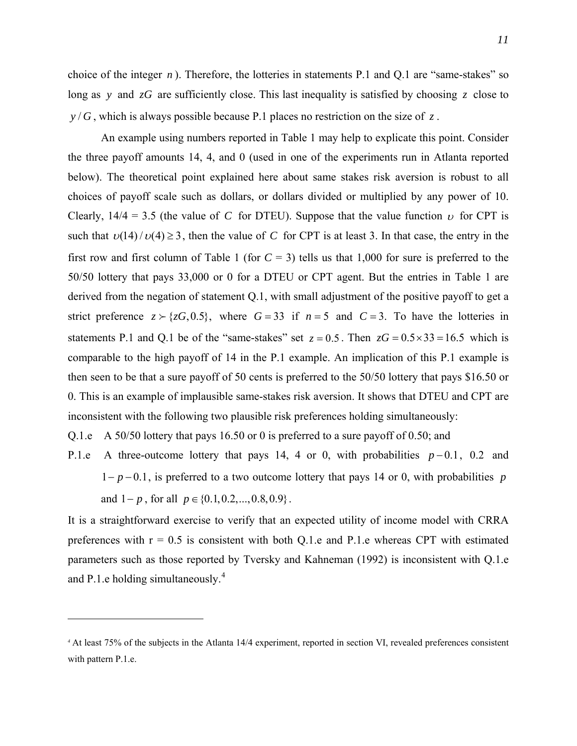choice of the integer  $n$ ). Therefore, the lotteries in statements P.1 and Q.1 are "same-stakes" so long as *y* and *zG* are sufficiently close. This last inequality is satisfied by choosing *z* close to *y* / *G* , which is always possible because P.1 places no restriction on the size of *z* .

An example using numbers reported in Table 1 may help to explicate this point. Consider the three payoff amounts 14, 4, and 0 (used in one of the experiments run in Atlanta reported below). The theoretical point explained here about same stakes risk aversion is robust to all choices of payoff scale such as dollars, or dollars divided or multiplied by any power of 10. Clearly,  $14/4 = 3.5$  (the value of *C* for DTEU). Suppose that the value function  $\nu$  for CPT is such that  $v(14) / v(4) \ge 3$ , then the value of C for CPT is at least 3. In that case, the entry in the strict preference  $z \succ \{zG, 0.5\}$ , where  $G = 33$  if  $n = 5$  and  $C = 3$ . To have the lotteries in first row and first column of Table 1 (for  $C = 3$ ) tells us that 1,000 for sure is preferred to the 50/50 lottery that pays 33,000 or 0 for a DTEU or CPT agent. But the entries in Table 1 are derived from the negation of statement Q.1, with small adjustment of the positive payoff to get a statements P.1 and Q.1 be of the "same-stakes" set  $z = 0.5$ . Then  $zG = 0.5 \times 33 = 16.5$  which is comparable to the high payoff of 14 in the P.1 example. An implication of this P.1 example is then seen to be that a sure payoff of 50 cents is preferred to the 50/50 lottery that pays \$16.50 or 0. This is an example of implausible same-stakes risk aversion. It shows that DTEU and CPT are inconsistent with the following two plausible risk preferences holding simultaneously:

Q.1.e A 50/50 lottery that pays 16.50 or 0 is preferred to a sure payoff of 0.50; and

P.1.e A three-outcome lottery that pays 14, 4 or 0, with probabilities  $p-0.1$ , 0.2 and  $1-p-0.1$ , is preferred to a two outcome lottery that pays 14 or 0, with probabilities p and  $1-p$ , for all  $p \in \{0.1, 0.2, ..., 0.8, 0.9\}$ .

It is a straightforward exercise to verify that an expected utility of income model with CRRA preferences with  $r = 0.5$  is consistent with both Q.1.e and P.1.e whereas CPT with estimated parameters such as those reported by Tversky and Kahneman (1992) is inconsistent with Q.1.e and P.1.e holding simultaneously.<sup>[4](#page-11-0)</sup>

<span id="page-11-0"></span>*<sup>4</sup>* At least 75% of the subjects in the Atlanta 14/4 experiment, reported in section VI, revealed preferences consistent with pattern P.1.e.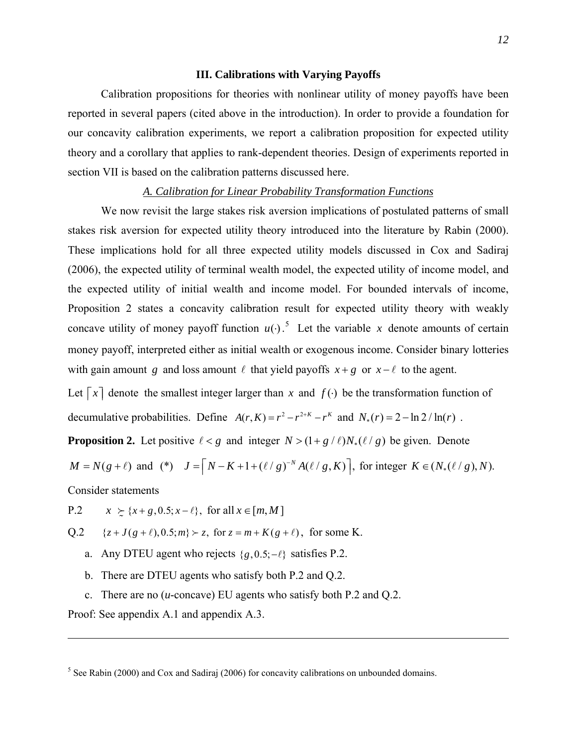## **III. Calibrations with Varying Payoffs**

Calibration propositions for theories with nonlinear utility of money payoffs have been reported in several papers (cited above in the introduction). In order to provide a foundation for our concavity calibration experiments, we report a calibration proposition for expected utility theory and a corollary that applies to rank-dependent theories. Design of experiments reported in section VII is based on the calibration patterns discussed here.

## *A. Calibration for Linear Probability Transformation Functions*

We now revisit the large stakes risk aversion implications of postulated patterns of small stakes risk aversion for expected utility theory introduced into the literature by Rabin (2000). These implications hold for all three expected utility models discussed in Cox and Sadiraj (2006), the expected utility of terminal wealth model, the expected utility of income model, and the expected utility of initial wealth and income model. For bounded intervals of income, Proposition 2 states a concavity calibration result for expected utility theory with weakly concave utility of money payoff function  $u(\cdot)$ .<sup>[5](#page-12-0)</sup> Let the variable x denote amounts of certain money payoff, interpreted either as initial wealth or exogenous income. Consider binary lotteries with gain amount *g* and loss amount  $\ell$  that yield payoffs  $x + g$  or  $x - \ell$  to the agent.

Let  $\lceil x \rceil$  denote the smallest integer larger than *x* and  $f(\cdot)$  be the transformation function of decumulative probabilities. Define  $A(r, K) = r^2 - r^{2+K} - r^K$  and  $N_*(r) = 2 - \ln 2 / \ln(r)$ .

**Proposition 2.** Let positive  $\ell < g$  and integer  $N > (1 + g/\ell)N_*(\ell/g)$  be given. Denote

 $M = N(g + \ell)$  and (\*)  $J = \left[ N - K + 1 + (\ell / g)^{-N} A(\ell / g, K) \right]$ , for integer  $K \in (N_*(\ell / g), N)$ .

Consider statements

P.2  $x \geq {x + g, 0.5; x - \ell}$ , for all  $x \in [m, M]$ 

 $Q.2 \{ z + J(g+\ell), 0.5; m \} \succ z$ , for  $z = m + K(g+\ell)$ , for some K.

a. Any DTEU agent who rejects  $\{g, 0.5; -\ell\}$  satisfies P.2.

b. There are DTEU agents who satisfy both P.2 and Q.2.

c. There are no (*u*-concave) EU agents who satisfy both P.2 and Q.2.

Proof: See appendix A.1 and appendix A.3.

<span id="page-12-0"></span> $<sup>5</sup>$  See Rabin (2000) and Cox and Sadiraj (2006) for concavity calibrations on unbounded domains.</sup>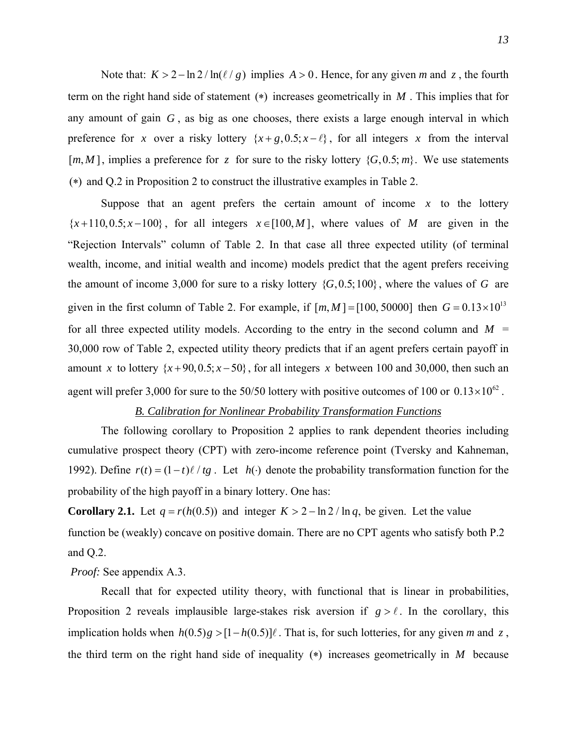Note that:  $K > 2 - \ln 2 / \ln(\ell / g)$  implies  $A > 0$ . Hence, for any given *m* and *z*, the fourth term on the right hand side of statement ( ) increases geometrically in *M* . This implies that for any amount of gain *G* , as big as one chooses, there exists a large enough interval in which preference for *x* over a risky lottery  $\{x+g, 0.5; x-\ell\}$ , for all integers *x* from the interval  $[m, M]$ , implies a preference for z for sure to the risky lottery  $\{G, 0.5; m\}$ . We use statements  $(*)$  and Q.2 in Proposition 2 to construct the illustrative examples in Table 2.

Suppose that an agent prefers the certain amount of income  $x$  to the lottery  ${x+110,0.5; x-100}$ , for all integers  $x \in [100, M]$ , where values of *M* are given in the "Rejection Intervals" column of Table 2. In that case all three expected utility (of terminal wealth, income, and initial wealth and income) models predict that the agent prefers receiving the amount of income 3,000 for sure to a risky lottery  $\{G, 0.5; 100\}$ , where the values of *G* are given in the first column of Table 2. For example, if  $[m, M] = [100, 50000]$  then  $G = 0.13 \times 10^{13}$ for all three expected utility models. According to the entry in the second column and  $M =$ 30,000 row of Table 2, expected utility theory predicts that if an agent prefers certain payoff in amount *x* to lottery  $\{x+90, 0.5; x-50\}$ , for all integers *x* between 100 and 30,000, then such an agent will prefer 3,000 for sure to the 50/50 lottery with positive outcomes of 100 or  $0.13 \times 10^{62}$ .

# *B. Calibration for Nonlinear Probability Transformation Functions*

The following corollary to Proposition 2 applies to rank dependent theories including cumulative prospect theory (CPT) with zero-income reference point (Tversky and Kahneman, 1992). Define  $r(t) = (1-t)\ell / tg$ . Let  $h(\cdot)$  denote the probability transformation function for the probability of the high payoff in a binary lottery. One has:

**Corollary 2.1.** Let  $q = r(h(0.5))$  and integer  $K > 2 - \ln 2 / \ln q$ , be given. Let the value function be (weakly) concave on positive domain. There are no CPT agents who satisfy both P.2 and Q.2.

# *Proof:* See appendix A.3.

Recall that for expected utility theory, with functional that is linear in probabilities, Proposition 2 reveals implausible large-stakes risk aversion if  $g > l$ . In the corollary, this implication holds when  $h(0.5)g > [1 - h(0.5)]\ell$ . That is, for such lotteries, for any given *m* and z, the third term on the right hand side of inequality  $(*)$  increases geometrically in *M* because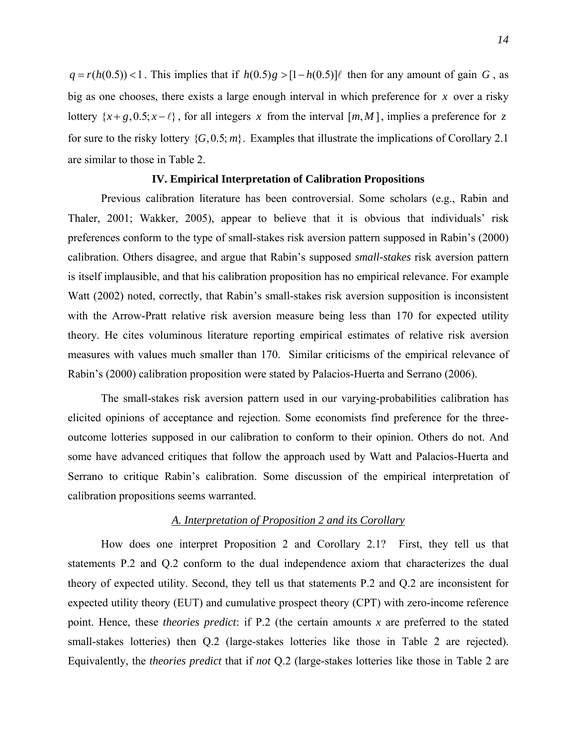$q = r(h(0.5)) < 1$ . This implies that if  $h(0.5)g > [1 - h(0.5)]\ell$  then for any amount of gain *G*, as big as one chooses, there exists a large enough interval in which preference for *x* over a risky lottery  $\{x+g, 0.5; x-\ell\}$ , for all integers x from the interval  $[m, M]$ , implies a preference for z for sure to the risky lottery  $\{G, 0.5; m\}$ . Examples that illustrate the implications of Corollary 2.1 are similar to those in Table 2.

# **IV. Empirical Interpretation of Calibration Propositions**

Previous calibration literature has been controversial. Some scholars (e.g., Rabin and Thaler, 2001; Wakker, 2005), appear to believe that it is obvious that individuals' risk preferences conform to the type of small-stakes risk aversion pattern supposed in Rabin's (2000) calibration. Others disagree, and argue that Rabin's supposed *small-stakes* risk aversion pattern is itself implausible, and that his calibration proposition has no empirical relevance. For example Watt (2002) noted, correctly, that Rabin's small-stakes risk aversion supposition is inconsistent with the Arrow-Pratt relative risk aversion measure being less than 170 for expected utility theory. He cites voluminous literature reporting empirical estimates of relative risk aversion measures with values much smaller than 170. Similar criticisms of the empirical relevance of Rabin's (2000) calibration proposition were stated by Palacios-Huerta and Serrano (2006).

The small-stakes risk aversion pattern used in our varying-probabilities calibration has elicited opinions of acceptance and rejection. Some economists find preference for the threeoutcome lotteries supposed in our calibration to conform to their opinion. Others do not. And some have advanced critiques that follow the approach used by Watt and Palacios-Huerta and Serrano to critique Rabin's calibration. Some discussion of the empirical interpretation of calibration propositions seems warranted.

## *A. Interpretation of Proposition 2 and its Corollary*

How does one interpret Proposition 2 and Corollary 2.1? First, they tell us that statements P.2 and Q.2 conform to the dual independence axiom that characterizes the dual theory of expected utility. Second, they tell us that statements P.2 and Q.2 are inconsistent for expected utility theory (EUT) and cumulative prospect theory (CPT) with zero-income reference point. Hence, these *theories predict*: if P.2 (the certain amounts *x* are preferred to the stated small-stakes lotteries) then Q.2 (large-stakes lotteries like those in Table 2 are rejected). Equivalently, the *theories predict* that if *not* Q.2 (large-stakes lotteries like those in Table 2 are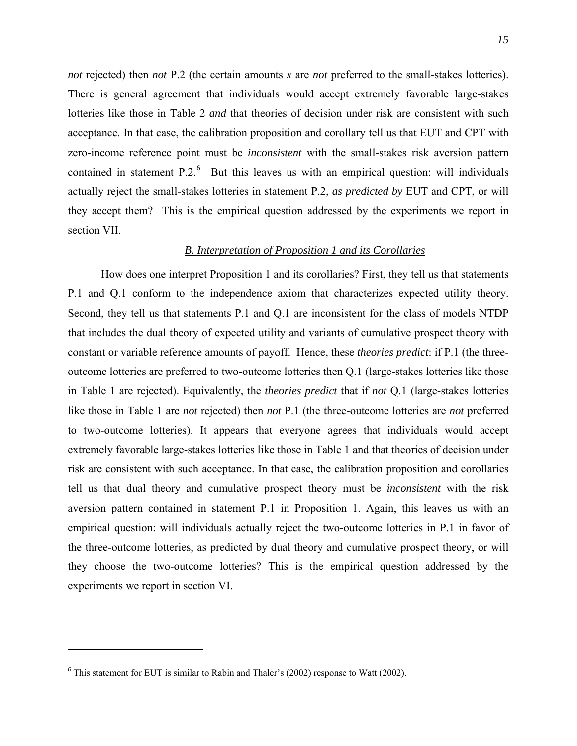*not* rejected) then *not* P.2 (the certain amounts *x* are *not* preferred to the small-stakes lotteries). There is general agreement that individuals would accept extremely favorable large-stakes lotteries like those in Table 2 *and* that theories of decision under risk are consistent with such acceptance. In that case, the calibration proposition and corollary tell us that EUT and CPT with zero-income reference point must be *inconsistent* with the small-stakes risk aversion pattern contained in statement  $P \cdot 2.6$  $P \cdot 2.6$  But this leaves us with an empirical question: will individuals actually reject the small-stakes lotteries in statement P.2, *as predicted by* EUT and CPT, or will they accept them? This is the empirical question addressed by the experiments we report in section VII.

# *B. Interpretation of Proposition 1 and its Corollaries*

How does one interpret Proposition 1 and its corollaries? First, they tell us that statements P.1 and Q.1 conform to the independence axiom that characterizes expected utility theory. Second, they tell us that statements P.1 and Q.1 are inconsistent for the class of models NTDP that includes the dual theory of expected utility and variants of cumulative prospect theory with constant or variable reference amounts of payoff. Hence, these *theories predict*: if P.1 (the threeoutcome lotteries are preferred to two-outcome lotteries then Q.1 (large-stakes lotteries like those in Table 1 are rejected). Equivalently, the *theories predict* that if *not* Q.1 (large-stakes lotteries like those in Table 1 are *not* rejected) then *not* P.1 (the three-outcome lotteries are *not* preferred to two-outcome lotteries). It appears that everyone agrees that individuals would accept extremely favorable large-stakes lotteries like those in Table 1 and that theories of decision under risk are consistent with such acceptance. In that case, the calibration proposition and corollaries tell us that dual theory and cumulative prospect theory must be *inconsistent* with the risk aversion pattern contained in statement P.1 in Proposition 1. Again, this leaves us with an empirical question: will individuals actually reject the two-outcome lotteries in P.1 in favor of the three-outcome lotteries, as predicted by dual theory and cumulative prospect theory, or will they choose the two-outcome lotteries? This is the empirical question addressed by the experiments we report in section VI.

<span id="page-15-0"></span> $^6$  This statement for EUT is similar to Rabin and Thaler's (2002) response to Watt (2002).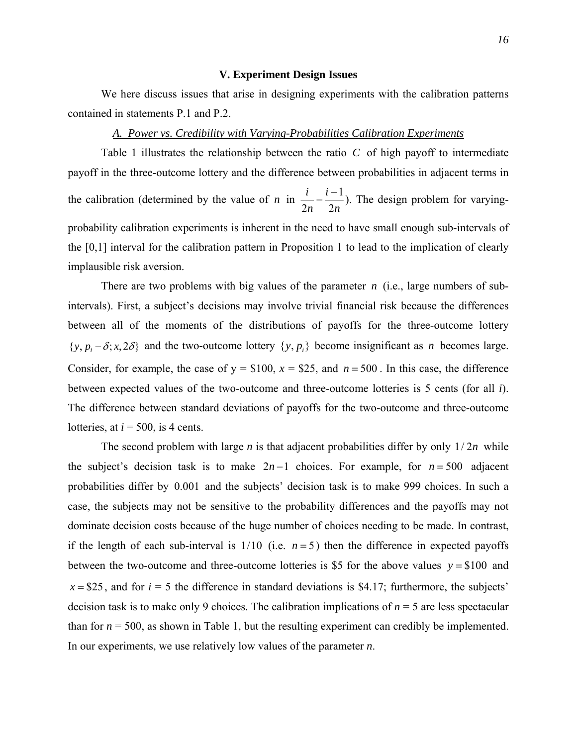#### **V. Experiment Design Issues**

We here discuss issues that arise in designing experiments with the calibration patterns contained in statements P.1 and P.2.

## *A. Power vs. Credibility with Varying-Probabilities Calibration Experiments*

Table 1 illustrates the relationship between the ratio  $C$  of high payoff to intermediate payoff in the three-outcome lottery and the difference between probabilities in adjacent terms in the calibration (determined by the value of *n* in  $\frac{i}{2} - \frac{i-1}{2}$  $2n \quad 2$ *i i n n*  $-\frac{i-1}{2}$ ). The design problem for varyingprobability calibration experiments is inherent in the need to have small enough sub-intervals of the [0,1] interval for the calibration pattern in Proposition 1 to lead to the implication of clearly implausible risk aversion.

There are two problems with big values of the parameter  $n$  (i.e., large numbers of subintervals). First, a subject's decisions may involve trivial financial risk because the differences between all of the moments of the distributions of payoffs for the three-outcome lottery  $\{y, p_i - \delta; x, 2\delta\}$  and the two-outcome lottery  $\{y, p_i\}$  become insignificant as *n* becomes large. Consider, for example, the case of  $y = $100$ ,  $x = $25$ , and  $n = 500$ . In this case, the difference between expected values of the two-outcome and three-outcome lotteries is 5 cents (for all *i*). The difference between standard deviations of payoffs for the two-outcome and three-outcome lotteries, at  $i = 500$ , is 4 cents.

The second problem with large *n* is that adjacent probabilities differ by only  $1/2n$  while the subject's decision task is to make  $2n-1$  choices. For example, for  $n = 500$  adjacent probabilities differ by 0.001 and the subjects' decision task is to make 999 choices. In such a case, the subjects may not be sensitive to the probability differences and the payoffs may not dominate decision costs because of the huge number of choices needing to be made. In contrast, if the length of each sub-interval is  $1/10$  (i.e.  $n = 5$ ) then the difference in expected payoffs between the two-outcome and three-outcome lotteries is \$5 for the above values  $y = $100$  and  $x = $25$ , and for  $i = 5$  the difference in standard deviations is \$4.17; furthermore, the subjects' decision task is to make only 9 choices. The calibration implications of *n* = 5 are less spectacular than for  $n = 500$ , as shown in Table 1, but the resulting experiment can credibly be implemented. In our experiments, we use relatively low values of the parameter *n*.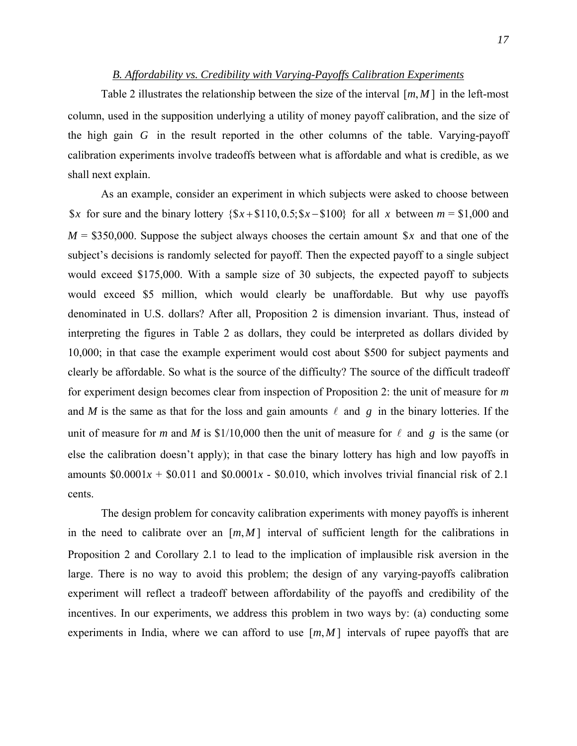## *B. Affordability vs. Credibility with Varying-Payoffs Calibration Experiments*

Table 2 illustrates the relationship between the size of the interval  $[m, M]$  in the left-most column, used in the supposition underlying a utility of money payoff calibration, and the size of the high gain *G* in the result reported in the other columns of the table. Varying-payoff calibration experiments involve tradeoffs between what is affordable and what is credible, as we shall next explain.

As an example, consider an experiment in which subjects were asked to choose between \$x for sure and the binary lottery  $\{\$x + \$110, 0.5; \$x - \$100\}$  for all x between  $m = \$1,000$  and  $M = $350,000$ . Suppose the subject always chooses the certain amount \$x and that one of the subject's decisions is randomly selected for payoff. Then the expected payoff to a single subject would exceed \$175,000. With a sample size of 30 subjects, the expected payoff to subjects would exceed \$5 million, which would clearly be unaffordable. But why use payoffs denominated in U.S. dollars? After all, Proposition 2 is dimension invariant. Thus, instead of interpreting the figures in Table 2 as dollars, they could be interpreted as dollars divided by 10,000; in that case the example experiment would cost about \$500 for subject payments and clearly be affordable. So what is the source of the difficulty? The source of the difficult tradeoff for experiment design becomes clear from inspection of Proposition 2: the unit of measure for *m* and *M* is the same as that for the loss and gain amounts  $\ell$  and  $g$  in the binary lotteries. If the unit of measure for *m* and *M* is \$1/10,000 then the unit of measure for  $\ell$  and g is the same (or else the calibration doesn't apply); in that case the binary lottery has high and low payoffs in amounts  $$0.0001x + $0.011$  and  $$0.0001x - $0.010$ , which involves trivial financial risk of 2.1 cents.

The design problem for concavity calibration experiments with money payoffs is inherent in the need to calibrate over an  $[m, M]$  interval of sufficient length for the calibrations in Proposition 2 and Corollary 2.1 to lead to the implication of implausible risk aversion in the large. There is no way to avoid this problem; the design of any varying-payoffs calibration experiment will reflect a tradeoff between affordability of the payoffs and credibility of the incentives. In our experiments, we address this problem in two ways by: (a) conducting some experiments in India, where we can afford to use  $[m, M]$  intervals of rupee payoffs that are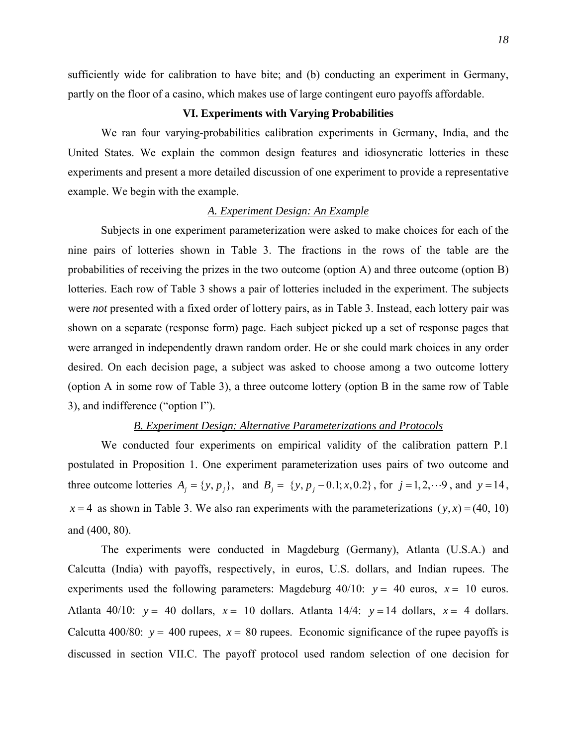sufficiently wide for calibration to have bite; and (b) conducting an experiment in Germany, partly on the floor of a casino, which makes use of large contingent euro payoffs affordable.

# **VI. Experiments with Varying Probabilities**

We ran four varying-probabilities calibration experiments in Germany, India, and the United States. We explain the common design features and idiosyncratic lotteries in these experiments and present a more detailed discussion of one experiment to provide a representative example. We begin with the example.

#### *A. Experiment Design: An Example*

Subjects in one experiment parameterization were asked to make choices for each of the nine pairs of lotteries shown in Table 3. The fractions in the rows of the table are the probabilities of receiving the prizes in the two outcome (option A) and three outcome (option B) lotteries. Each row of Table 3 shows a pair of lotteries included in the experiment. The subjects were *not* presented with a fixed order of lottery pairs, as in Table 3. Instead, each lottery pair was shown on a separate (response form) page. Each subject picked up a set of response pages that were arranged in independently drawn random order. He or she could mark choices in any order desired. On each decision page, a subject was asked to choose among a two outcome lottery (option A in some row of Table 3), a three outcome lottery (option B in the same row of Table 3), and indifference ("option I").

# *B. Experiment Design: Alternative Parameterizations and Protocols*

We conducted four experiments on empirical validity of the calibration pattern P.1 postulated in Proposition 1. One experiment parameterization uses pairs of two outcome and three outcome lotteries  $A_i = \{y, p_i\}$ , and  $B_i = \{y, p_i - 0.1; x, 0.2\}$ , for  $j = 1, 2, \dots, 9$ , and  $y = 14$ ,  $x = 4$  as shown in Table 3. We also ran experiments with the parameterizations  $(y, x) = (40, 10)$ and (400, 80).

The experiments were conducted in Magdeburg (Germany), Atlanta (U.S.A.) and Calcutta (India) with payoffs, respectively, in euros, U.S. dollars, and Indian rupees. The experiments used the following parameters: Magdeburg  $40/10$ :  $y = 40$  euros,  $x = 10$  euros. Atlanta 40/10:  $y = 40$  dollars,  $x = 10$  dollars. Atlanta 14/4:  $y = 14$  dollars,  $x = 4$  dollars. Calcutta 400/80:  $y = 400$  rupees,  $x = 80$  rupees. Economic significance of the rupee payoffs is discussed in section VII.C. The payoff protocol used random selection of one decision for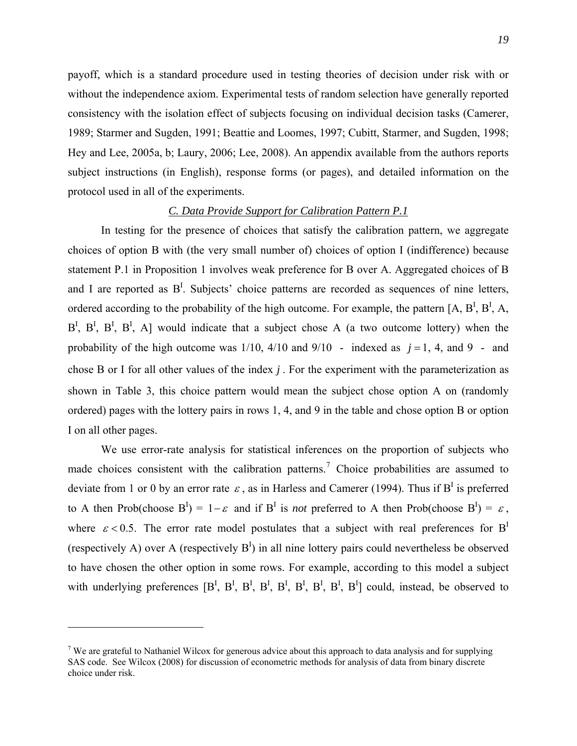payoff, which is a standard procedure used in testing theories of decision under risk with or without the independence axiom. Experimental tests of random selection have generally reported consistency with the isolation effect of subjects focusing on individual decision tasks (Camerer, 1989; Starmer and Sugden, 1991; Beattie and Loomes, 1997; Cubitt, Starmer, and Sugden, 1998; Hey and Lee, 2005a, b; Laury, 2006; Lee, 2008). An appendix available from the authors reports subject instructions (in English), response forms (or pages), and detailed information on the protocol used in all of the experiments.

## *C. Data Provide Support for Calibration Pattern P.1*

In testing for the presence of choices that satisfy the calibration pattern, we aggregate choices of option B with (the very small number of) choices of option I (indifference) because statement P.1 in Proposition 1 involves weak preference for B over A. Aggregated choices of B and I are reported as  $B<sup>I</sup>$ . Subjects' choice patterns are recorded as sequences of nine letters, ordered according to the probability of the high outcome. For example, the pattern [A,  $B^I$ ,  $B^I$ , A,  $B^I$ ,  $B^I$ ,  $B^I$ ,  $B^I$ , A] would indicate that a subject chose A (a two outcome lottery) when the probability of the high outcome was  $1/10$ ,  $4/10$  and  $9/10$  - indexed as  $j = 1$ , 4, and 9 - and chose B or I for all other values of the index *j* . For the experiment with the parameterization as shown in Table 3, this choice pattern would mean the subject chose option A on (randomly ordered) pages with the lottery pairs in rows 1, 4, and 9 in the table and chose option B or option I on all other pages.

We use error-rate analysis for statistical inferences on the proportion of subjects who made choices consistent with the calibration patterns.<sup>[7](#page-19-0)</sup> Choice probabilities are assumed to deviate from 1 or 0 by an error rate  $\varepsilon$ , as in Harless and Camerer (1994). Thus if B<sup>I</sup> is preferred to A then Prob(choose  $B^I$ ) = 1- $\varepsilon$  and if  $B^I$  is *not* preferred to A then Prob(choose  $B^I$ ) =  $\varepsilon$ , where  $\varepsilon$  < 0.5. The error rate model postulates that a subject with real preferences for B<sup>I</sup> (respectively A) over A (respectively  $B<sup>I</sup>$ ) in all nine lottery pairs could nevertheless be observed to have chosen the other option in some rows. For example, according to this model a subject with underlying preferences  $[B^I, B^I, B^I, B^I, B^I, B^I, B^I, B^I, B^I]$  could, instead, be observed to

<span id="page-19-0"></span><sup>&</sup>lt;sup>7</sup> We are grateful to Nathaniel Wilcox for generous advice about this approach to data analysis and for supplying SAS code. See Wilcox (2008) for discussion of econometric methods for analysis of data from binary discrete choice under risk.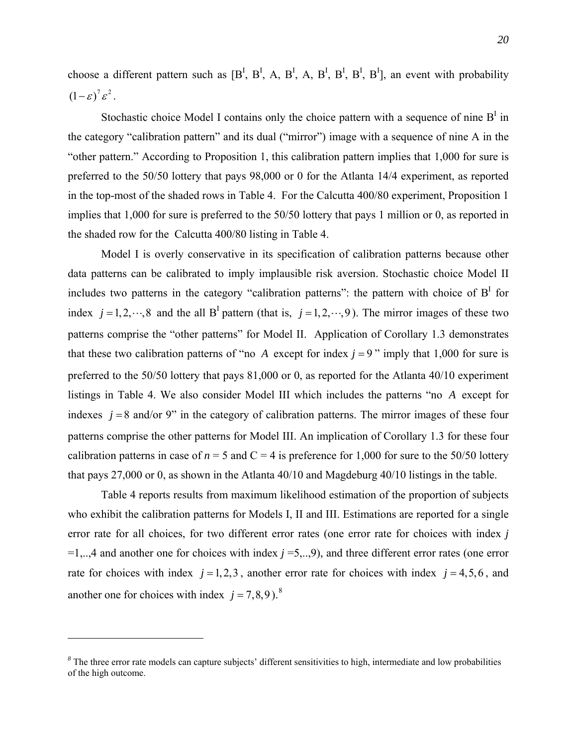choose a different pattern such as  $[B^I, B^I, A, B^I, A, B^I, B^I, B^I, B^I]$ , an event with probability  $\left(1-\varepsilon\right)^7 \varepsilon^2$ .

Stochastic choice Model I contains only the choice pattern with a sequence of nine  $B<sup>I</sup>$  in the category "calibration pattern" and its dual ("mirror") image with a sequence of nine A in the "other pattern." According to Proposition 1, this calibration pattern implies that 1,000 for sure is preferred to the 50/50 lottery that pays 98,000 or 0 for the Atlanta 14/4 experiment, as reported in the top-most of the shaded rows in Table 4. For the Calcutta 400/80 experiment, Proposition 1 implies that 1,000 for sure is preferred to the 50/50 lottery that pays 1 million or 0, as reported in the shaded row for the Calcutta 400/80 listing in Table 4.

index  $j = 1, 2, \dots, 8$  and the all B<sup>I</sup> pattern (that is,  $j = 1, 2, \dots, 9$ ). The mirror images of these two Model I is overly conservative in its specification of calibration patterns because other data patterns can be calibrated to imply implausible risk aversion. Stochastic choice Model II includes two patterns in the category "calibration patterns": the pattern with choice of  $B<sup>I</sup>$  for patterns comprise the "other patterns" for Model II. Application of Corollary 1.3 demonstrates that these two calibration patterns of "no *A* except for index  $j = 9$ " imply that 1,000 for sure is preferred to the 50/50 lottery that pays 81,000 or 0, as reported for the Atlanta 40/10 experiment listings in Table 4. We also consider Model III which includes the patterns "no A except for indexes  $j = 8$  and/or 9" in the category of calibration patterns. The mirror images of these four patterns comprise the other patterns for Model III. An implication of Corollary 1.3 for these four calibration patterns in case of  $n = 5$  and  $C = 4$  is preference for 1,000 for sure to the 50/50 lottery that pays 27,000 or 0, as shown in the Atlanta 40/10 and Magdeburg 40/10 listings in the table.

Table 4 reports results from maximum likelihood estimation of the proportion of subjects who exhibit the calibration patterns for Models I, II and III. Estimations are reported for a single error rate for all choices, for two different error rates (one error rate for choices with index *j*  $=1,...,4$  and another one for choices with index  $j = 5,...,9$ ), and three different error rates (one error rate for choices with index  $j = 1, 2, 3$ , another error rate for choices with index  $j = 4, 5, 6$ , and another one for choices with index  $j = 7,8,9$  $j = 7,8,9$  $j = 7,8,9$ .<sup>8</sup>

<span id="page-20-0"></span>*<sup>8</sup>* The three error rate models can capture subjects' different sensitivities to high, intermediate and low probabilities of the high outcome.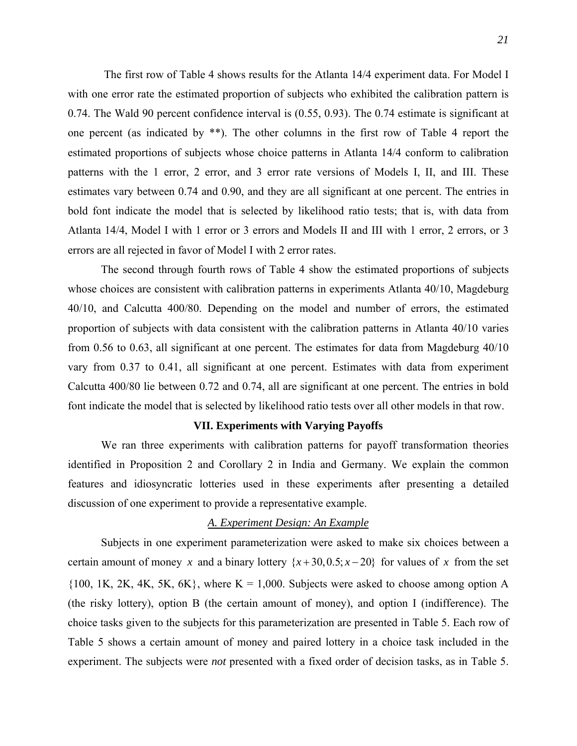The first row of Table 4 shows results for the Atlanta 14/4 experiment data. For Model I with one error rate the estimated proportion of subjects who exhibited the calibration pattern is 0.74. The Wald 90 percent confidence interval is (0.55, 0.93). The 0.74 estimate is significant at one percent (as indicated by \*\*). The other columns in the first row of Table 4 report the estimated proportions of subjects whose choice patterns in Atlanta 14/4 conform to calibration patterns with the 1 error, 2 error, and 3 error rate versions of Models I, II, and III. These estimates vary between 0.74 and 0.90, and they are all significant at one percent. The entries in bold font indicate the model that is selected by likelihood ratio tests; that is, with data from Atlanta 14/4, Model I with 1 error or 3 errors and Models II and III with 1 error, 2 errors, or 3 errors are all rejected in favor of Model I with 2 error rates.

 The second through fourth rows of Table 4 show the estimated proportions of subjects whose choices are consistent with calibration patterns in experiments Atlanta 40/10, Magdeburg 40/10, and Calcutta 400/80. Depending on the model and number of errors, the estimated proportion of subjects with data consistent with the calibration patterns in Atlanta 40/10 varies from 0.56 to 0.63, all significant at one percent. The estimates for data from Magdeburg 40/10 vary from 0.37 to 0.41, all significant at one percent. Estimates with data from experiment Calcutta 400/80 lie between 0.72 and 0.74, all are significant at one percent. The entries in bold font indicate the model that is selected by likelihood ratio tests over all other models in that row.

## **VII. Experiments with Varying Payoffs**

We ran three experiments with calibration patterns for payoff transformation theories identified in Proposition 2 and Corollary 2 in India and Germany. We explain the common features and idiosyncratic lotteries used in these experiments after presenting a detailed discussion of one experiment to provide a representative example.

# *A. Experiment Design: An Example*

Subjects in one experiment parameterization were asked to make six choices between a certain amount of money *x* and a binary lottery  $\{x+30, 0.5; x-20\}$  for values of *x* from the set  ${100, 1$ K, 2K, 4K, 5K, 6K}, where K = 1,000. Subjects were asked to choose among option A (the risky lottery), option B (the certain amount of money), and option I (indifference). The choice tasks given to the subjects for this parameterization are presented in Table 5. Each row of Table 5 shows a certain amount of money and paired lottery in a choice task included in the experiment. The subjects were *not* presented with a fixed order of decision tasks, as in Table 5.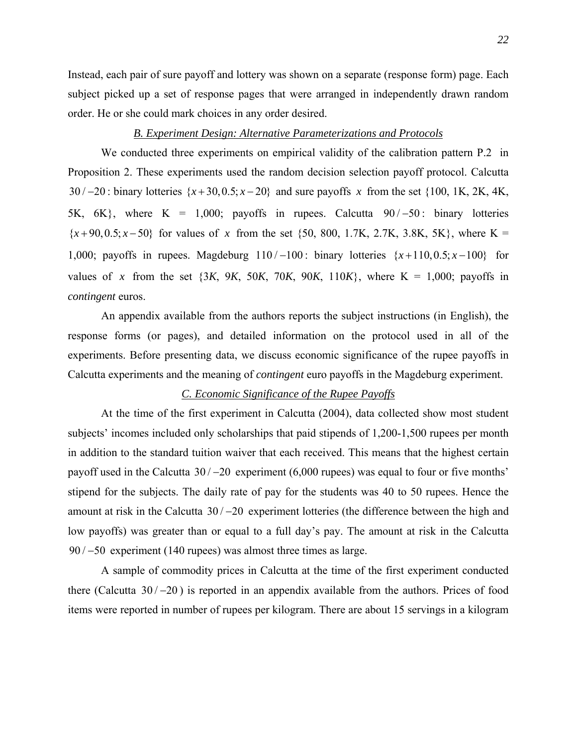Instead, each pair of sure payoff and lottery was shown on a separate (response form) page. Each subject picked up a set of response pages that were arranged in independently drawn random order. He or she could mark choices in any order desired.

# *B. Experiment Design: Alternative Parameterizations and Protocols*

 We conducted three experiments on empirical validity of the calibration pattern P.2 in Proposition 2. These experiments used the random decision selection payoff protocol. Calcutta  $30/-20$ : binary lotteries  $\{x+30, 0.5; x-20\}$  and sure payoffs x from the set  $\{100, 1K, 2K, 4K,$ 5K,  $6K$ , where  $K = 1,000$ ; payoffs in rupees. Calcutta  $90/-50$ : binary lotteries  ${x+90, 0.5; x-50}$  for values of x from the set {50, 800, 1.7K, 2.7K, 3.8K, 5K}, where K = 1,000; payoffs in rupees. Magdeburg  $110/-100$ : binary lotteries  $\{x+110, 0.5; x-100\}$  for values of x from the set  $\{3K, 9K, 50K, 70K, 90K, 110K\}$ , where  $K = 1,000$ ; payoffs in *contingent* euros.

An appendix available from the authors reports the subject instructions (in English), the response forms (or pages), and detailed information on the protocol used in all of the experiments. Before presenting data, we discuss economic significance of the rupee payoffs in Calcutta experiments and the meaning of *contingent* euro payoffs in the Magdeburg experiment.

# *C. Economic Significance of the Rupee Payoffs*

 At the time of the first experiment in Calcutta (2004), data collected show most student subjects' incomes included only scholarships that paid stipends of 1,200-1,500 rupees per month in addition to the standard tuition waiver that each received. This means that the highest certain payoff used in the Calcutta  $30/-20$  experiment (6,000 rupees) was equal to four or five months' stipend for the subjects. The daily rate of pay for the students was 40 to 50 rupees. Hence the amount at risk in the Calcutta  $30/-20$  experiment lotteries (the difference between the high and low payoffs) was greater than or equal to a full day's pay. The amount at risk in the Calcutta  $90/-50$  experiment (140 rupees) was almost three times as large.

A sample of commodity prices in Calcutta at the time of the first experiment conducted there (Calcutta  $30/-20$ ) is reported in an appendix available from the authors. Prices of food items were reported in number of rupees per kilogram. There are about 15 servings in a kilogram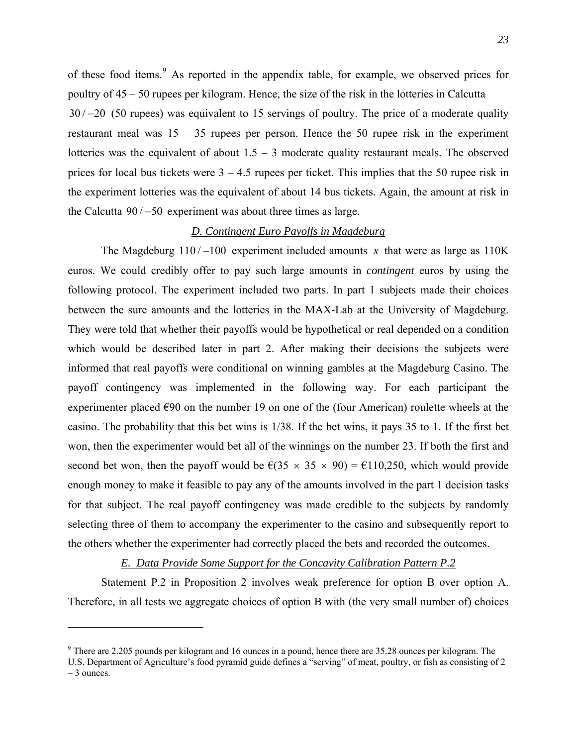of these food items.<sup>[9](#page-23-0)</sup> As reported in the appendix table, for example, we observed prices for poultry of 45 – 50 rupees per kilogram. Hence, the size of the risk in the lotteries in Calcutta  $30/-20$  (50 rupees) was equivalent to 15 servings of poultry. The price of a moderate quality restaurant meal was  $15 - 35$  rupees per person. Hence the 50 rupee risk in the experiment lotteries was the equivalent of about  $1.5 - 3$  moderate quality restaurant meals. The observed prices for local bus tickets were  $3 - 4.5$  rupees per ticket. This implies that the 50 rupee risk in the experiment lotteries was the equivalent of about 14 bus tickets. Again, the amount at risk in the Calcutta  $90/-50$  experiment was about three times as large.

# *D. Contingent Euro Payoffs in Magdeburg*

The Magdeburg  $110/-100$  experiment included amounts x that were as large as  $110K$ euros. We could credibly offer to pay such large amounts in *contingent* euros by using the following protocol. The experiment included two parts. In part 1 subjects made their choices between the sure amounts and the lotteries in the MAX-Lab at the University of Magdeburg. They were told that whether their payoffs would be hypothetical or real depended on a condition which would be described later in part 2. After making their decisions the subjects were informed that real payoffs were conditional on winning gambles at the Magdeburg Casino. The payoff contingency was implemented in the following way. For each participant the experimenter placed  $\epsilon$ 90 on the number 19 on one of the (four American) roulette wheels at the casino. The probability that this bet wins is 1/38. If the bet wins, it pays 35 to 1. If the first bet won, then the experimenter would bet all of the winnings on the number 23. If both the first and second bet won, then the payoff would be  $\epsilon(35 \times 35 \times 90) = \epsilon 110,250$ , which would provide enough money to make it feasible to pay any of the amounts involved in the part 1 decision tasks for that subject. The real payoff contingency was made credible to the subjects by randomly selecting three of them to accompany the experimenter to the casino and subsequently report to the others whether the experimenter had correctly placed the bets and recorded the outcomes.

# *E. Data Provide Some Support for the Concavity Calibration Pattern P.2*

Statement P.2 in Proposition 2 involves weak preference for option B over option A. Therefore, in all tests we aggregate choices of option B with (the very small number of) choices

<span id="page-23-0"></span> $9$  There are 2.205 pounds per kilogram and 16 ounces in a pound, hence there are 35.28 ounces per kilogram. The

U.S. Department of Agriculture's food pyramid guide defines a "serving" of meat, poultry, or fish as consisting of 2 – 3 ounces.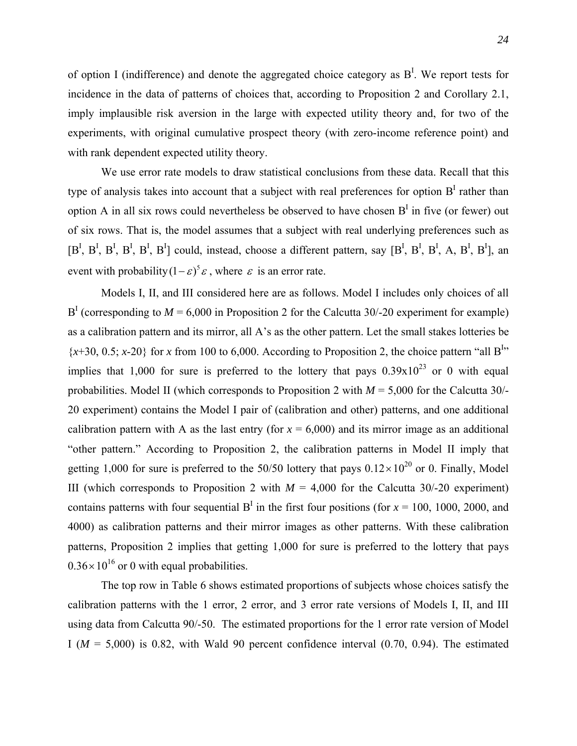of option I (indifference) and denote the aggregated choice category as  $B<sup>I</sup>$ . We report tests for incidence in the data of patterns of choices that, according to Proposition 2 and Corollary 2.1, imply implausible risk aversion in the large with expected utility theory and, for two of the experiments, with original cumulative prospect theory (with zero-income reference point) and with rank dependent expected utility theory.

We use error rate models to draw statistical conclusions from these data. Recall that this type of analysis takes into account that a subject with real preferences for option  $B<sup>I</sup>$  rather than option A in all six rows could nevertheless be observed to have chosen  $B<sup>I</sup>$  in five (or fewer) out of six rows. That is, the model assumes that a subject with real underlying preferences such as  $[B^I, B^I, B^I, B^I, B^I, B^I]$  could, instead, choose a different pattern, say  $[B^I, B^I, B^I, A, B^I, B^I]$ , an event with probability  $(1 - \varepsilon)^5 \varepsilon$ , where  $\varepsilon$  is an error rate.

Models I, II, and III considered here are as follows. Model I includes only choices of all  $B<sup>I</sup>$  (corresponding to  $M = 6,000$  in Proposition 2 for the Calcutta 30/-20 experiment for example) as a calibration pattern and its mirror, all A's as the other pattern. Let the small stakes lotteries be  $\{x+30, 0.5; x-20\}$  for *x* from 100 to 6,000. According to Proposition 2, the choice pattern "all B<sup>I</sup>" implies that 1,000 for sure is preferred to the lottery that pays  $0.39x10^{23}$  or 0 with equal probabilities. Model II (which corresponds to Proposition 2 with *M* = 5,000 for the Calcutta 30/- 20 experiment) contains the Model I pair of (calibration and other) patterns, and one additional calibration pattern with A as the last entry (for  $x = 6,000$ ) and its mirror image as an additional "other pattern." According to Proposition 2, the calibration patterns in Model II imply that getting 1,000 for sure is preferred to the 50/50 lottery that pays  $0.12 \times 10^{20}$  or 0. Finally, Model III (which corresponds to Proposition 2 with  $M = 4,000$  for the Calcutta 30/-20 experiment) contains patterns with four sequential  $B<sup>T</sup>$  in the first four positions (for  $x = 100$ , 1000, 2000, and 4000) as calibration patterns and their mirror images as other patterns. With these calibration patterns, Proposition 2 implies that getting 1,000 for sure is preferred to the lottery that pays  $0.36 \times 10^{16}$  or 0 with equal probabilities.

The top row in Table 6 shows estimated proportions of subjects whose choices satisfy the calibration patterns with the 1 error, 2 error, and 3 error rate versions of Models I, II, and III using data from Calcutta 90/-50. The estimated proportions for the 1 error rate version of Model I ( $M = 5,000$ ) is 0.82, with Wald 90 percent confidence interval (0.70, 0.94). The estimated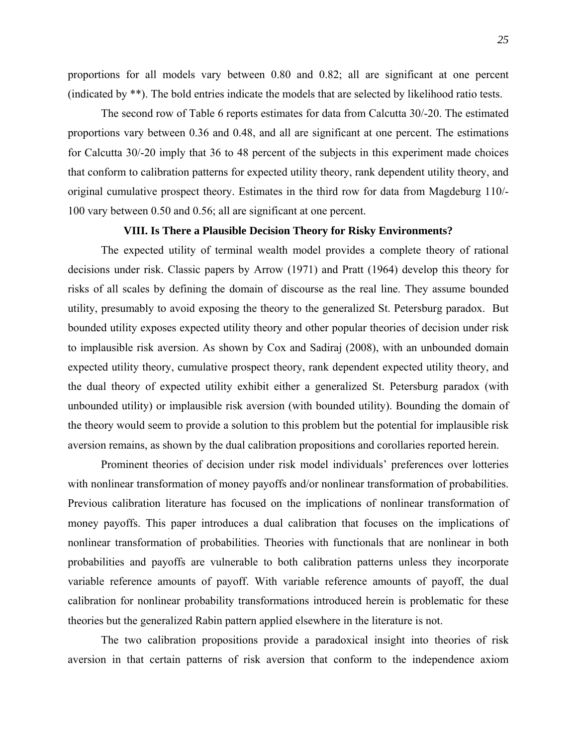proportions for all models vary between 0.80 and 0.82; all are significant at one percent (indicated by \*\*). The bold entries indicate the models that are selected by likelihood ratio tests.

 The second row of Table 6 reports estimates for data from Calcutta 30/-20. The estimated proportions vary between 0.36 and 0.48, and all are significant at one percent. The estimations for Calcutta 30/-20 imply that 36 to 48 percent of the subjects in this experiment made choices that conform to calibration patterns for expected utility theory, rank dependent utility theory, and original cumulative prospect theory. Estimates in the third row for data from Magdeburg 110/- 100 vary between 0.50 and 0.56; all are significant at one percent.

# **VIII. Is There a Plausible Decision Theory for Risky Environments?**

The expected utility of terminal wealth model provides a complete theory of rational decisions under risk. Classic papers by Arrow (1971) and Pratt (1964) develop this theory for risks of all scales by defining the domain of discourse as the real line. They assume bounded utility, presumably to avoid exposing the theory to the generalized St. Petersburg paradox. But bounded utility exposes expected utility theory and other popular theories of decision under risk to implausible risk aversion. As shown by Cox and Sadiraj (2008), with an unbounded domain expected utility theory, cumulative prospect theory, rank dependent expected utility theory, and the dual theory of expected utility exhibit either a generalized St. Petersburg paradox (with unbounded utility) or implausible risk aversion (with bounded utility). Bounding the domain of the theory would seem to provide a solution to this problem but the potential for implausible risk aversion remains, as shown by the dual calibration propositions and corollaries reported herein.

Prominent theories of decision under risk model individuals' preferences over lotteries with nonlinear transformation of money payoffs and/or nonlinear transformation of probabilities. Previous calibration literature has focused on the implications of nonlinear transformation of money payoffs. This paper introduces a dual calibration that focuses on the implications of nonlinear transformation of probabilities. Theories with functionals that are nonlinear in both probabilities and payoffs are vulnerable to both calibration patterns unless they incorporate variable reference amounts of payoff. With variable reference amounts of payoff, the dual calibration for nonlinear probability transformations introduced herein is problematic for these theories but the generalized Rabin pattern applied elsewhere in the literature is not.

The two calibration propositions provide a paradoxical insight into theories of risk aversion in that certain patterns of risk aversion that conform to the independence axiom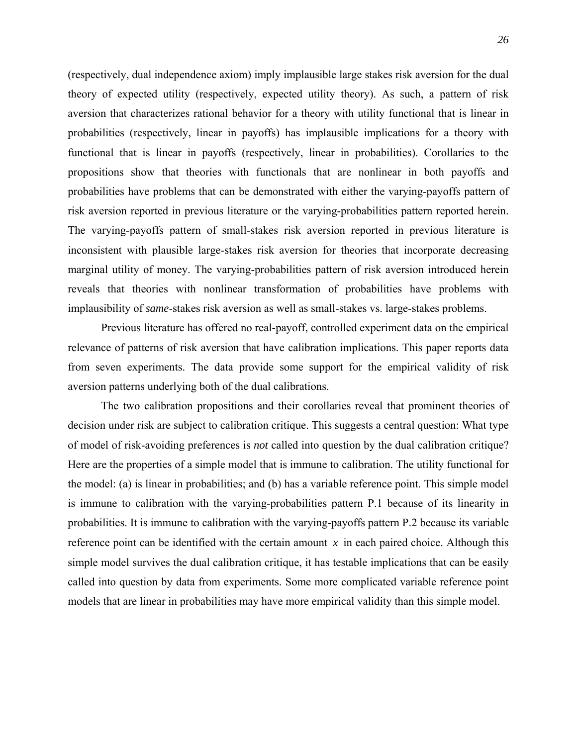(respectively, dual independence axiom) imply implausible large stakes risk aversion for the dual theory of expected utility (respectively, expected utility theory). As such, a pattern of risk aversion that characterizes rational behavior for a theory with utility functional that is linear in probabilities (respectively, linear in payoffs) has implausible implications for a theory with functional that is linear in payoffs (respectively, linear in probabilities). Corollaries to the propositions show that theories with functionals that are nonlinear in both payoffs and probabilities have problems that can be demonstrated with either the varying-payoffs pattern of risk aversion reported in previous literature or the varying-probabilities pattern reported herein. The varying-payoffs pattern of small-stakes risk aversion reported in previous literature is inconsistent with plausible large-stakes risk aversion for theories that incorporate decreasing marginal utility of money. The varying-probabilities pattern of risk aversion introduced herein reveals that theories with nonlinear transformation of probabilities have problems with implausibility of *same*-stakes risk aversion as well as small-stakes vs. large-stakes problems.

Previous literature has offered no real-payoff, controlled experiment data on the empirical relevance of patterns of risk aversion that have calibration implications. This paper reports data from seven experiments. The data provide some support for the empirical validity of risk aversion patterns underlying both of the dual calibrations.

The two calibration propositions and their corollaries reveal that prominent theories of decision under risk are subject to calibration critique. This suggests a central question: What type of model of risk-avoiding preferences is *not* called into question by the dual calibration critique? Here are the properties of a simple model that is immune to calibration. The utility functional for the model: (a) is linear in probabilities; and (b) has a variable reference point. This simple model is immune to calibration with the varying-probabilities pattern P.1 because of its linearity in probabilities. It is immune to calibration with the varying-payoffs pattern P.2 because its variable reference point can be identified with the certain amount  $x$  in each paired choice. Although this simple model survives the dual calibration critique, it has testable implications that can be easily called into question by data from experiments. Some more complicated variable reference point models that are linear in probabilities may have more empirical validity than this simple model.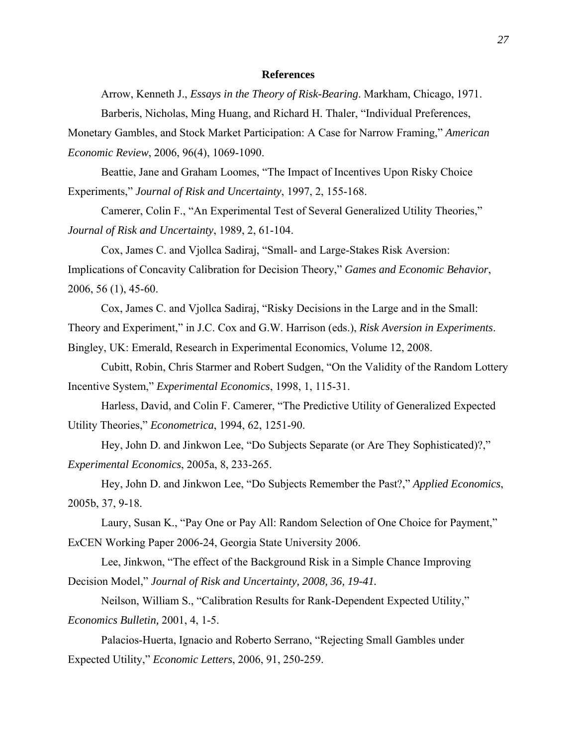## **References**

Arrow, Kenneth J., *Essays in the Theory of Risk-Bearing*. Markham, Chicago, 1971.

Barberis, Nicholas, Ming Huang, and Richard H. Thaler, "Individual Preferences,

Monetary Gambles, and Stock Market Participation: A Case for Narrow Framing," *American Economic Review*, 2006, 96(4), 1069-1090.

Beattie, Jane and Graham Loomes, "The Impact of Incentives Upon Risky Choice Experiments," *Journal of Risk and Uncertainty*, 1997, 2, 155-168.

Camerer, Colin F., "An Experimental Test of Several Generalized Utility Theories," *Journal of Risk and Uncertainty*, 1989, 2, 61-104.

Cox, James C. and Vjollca Sadiraj, "Small- and Large-Stakes Risk Aversion: Implications of Concavity Calibration for Decision Theory," *Games and Economic Behavior*, 2006, 56 (1), 45-60.

Cox, James C. and Vjollca Sadiraj, "Risky Decisions in the Large and in the Small: Theory and Experiment," in J.C. Cox and G.W. Harrison (eds.), *Risk Aversion in Experiments*. Bingley, UK: Emerald, Research in Experimental Economics, Volume 12, 2008.

Cubitt, Robin, Chris Starmer and Robert Sudgen, "On the Validity of the Random Lottery Incentive System," *Experimental Economics*, 1998, 1, 115-31.

Harless, David, and Colin F. Camerer, "The Predictive Utility of Generalized Expected Utility Theories," *Econometrica*, 1994, 62, 1251-90.

Hey, John D. and Jinkwon Lee, "Do Subjects Separate (or Are They Sophisticated)?," *Experimental Economics*, 2005a, 8, 233-265.

Hey, John D. and Jinkwon Lee, "Do Subjects Remember the Past?," *Applied Economics*, 2005b, 37, 9-18.

Laury, Susan K., "Pay One or Pay All: Random Selection of One Choice for Payment," E*x*CEN Working Paper 2006-24, Georgia State University 2006.

Lee, Jinkwon, "The effect of the Background Risk in a Simple Chance Improving Decision Model," *Journal of Risk and Uncertainty, 2008, 36, 19-41.* 

Neilson, William S., "Calibration Results for Rank-Dependent Expected Utility," *Economics Bulletin,* 2001, 4, 1-5.

Palacios-Huerta, Ignacio and Roberto Serrano, "Rejecting Small Gambles under Expected Utility," *Economic Letters*, 2006, 91, 250-259.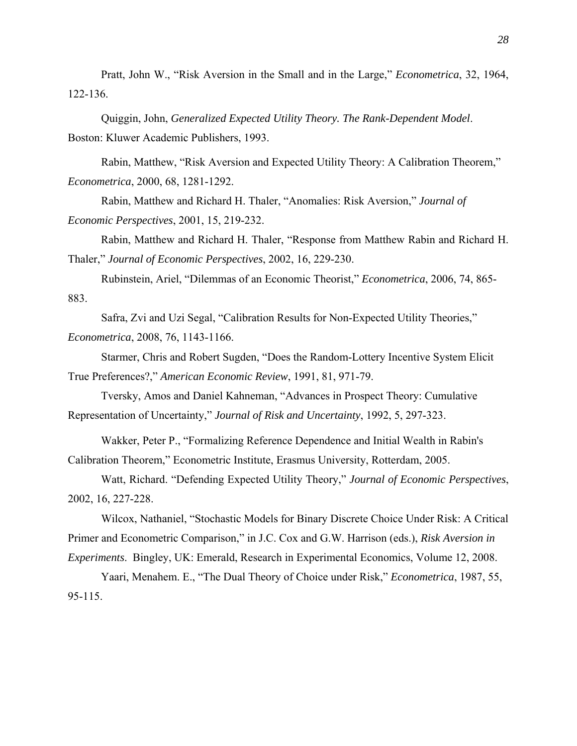Pratt, John W., "Risk Aversion in the Small and in the Large," *Econometrica*, 32, 1964, 122-136.

Quiggin, John, *Generalized Expected Utility Theory. The Rank-Dependent Model*. Boston: Kluwer Academic Publishers, 1993.

Rabin, Matthew, "Risk Aversion and Expected Utility Theory: A Calibration Theorem," *Econometrica*, 2000, 68, 1281-1292.

Rabin, Matthew and Richard H. Thaler, "Anomalies: Risk Aversion," *Journal of Economic Perspectives*, 2001, 15, 219-232.

Rabin, Matthew and Richard H. Thaler, "Response from Matthew Rabin and Richard H. Thaler," *Journal of Economic Perspectives*, 2002, 16, 229-230.

Rubinstein, Ariel, "Dilemmas of an Economic Theorist," *Econometrica*, 2006, 74, 865- 883.

Safra, Zvi and Uzi Segal, "Calibration Results for Non-Expected Utility Theories," *Econometrica*, 2008, 76, 1143-1166.

Starmer, Chris and Robert Sugden, "Does the Random-Lottery Incentive System Elicit True Preferences?," *American Economic Review*, 1991, 81, 971-79.

 Tversky, Amos and Daniel Kahneman, "Advances in Prospect Theory: Cumulative Representation of Uncertainty," *Journal of Risk and Uncertainty*, 1992, 5, 297-323.

 Wakker, Peter P., "Formalizing Reference Dependence and Initial Wealth in Rabin's Calibration Theorem," Econometric Institute, Erasmus University, Rotterdam, 2005.

Watt, Richard. "Defending Expected Utility Theory," *Journal of Economic Perspectives*, 2002, 16, 227-228.

Wilcox, Nathaniel, "Stochastic Models for Binary Discrete Choice Under Risk: A Critical Primer and Econometric Comparison," in J.C. Cox and G.W. Harrison (eds.), *Risk Aversion in Experiments*. Bingley, UK: Emerald, Research in Experimental Economics, Volume 12, 2008.

Yaari, Menahem. E., "The Dual Theory of Choice under Risk," *Econometrica*, 1987, 55, 95-115.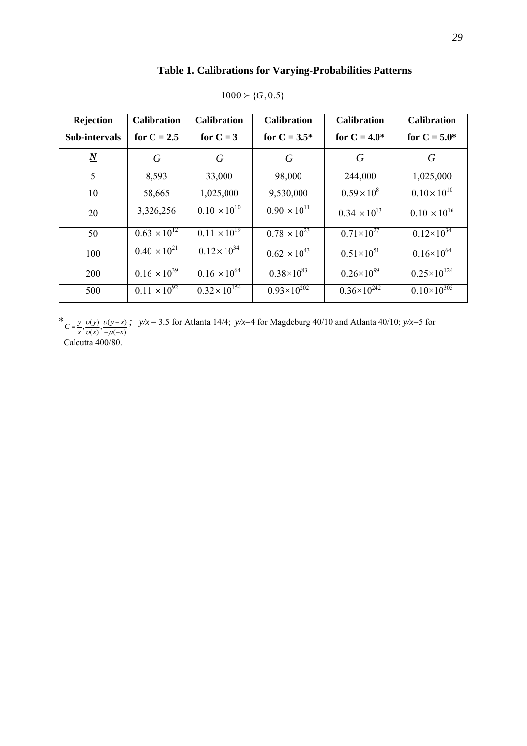# **Table 1. Calibrations for Varying-Probabilities Patterns**

| Rejection       | <b>Calibration</b>    | <b>Calibration</b>     | <b>Calibration</b>    | <b>Calibration</b>    | <b>Calibration</b>     |
|-----------------|-----------------------|------------------------|-----------------------|-----------------------|------------------------|
| Sub-intervals   | for $C = 2.5$         | for $C = 3$            | for $C = 3.5^*$       | for $C = 4.0*$        | for $C = 5.0*$         |
| $\underline{N}$ | $\overline{G}$        | $\overline{G}$         | $\overline{G}$        | $\overline{G}$        | $\overline{G}$         |
| 5               | 8,593                 | 33,000                 | 98,000                | 244,000               | 1,025,000              |
| 10              | 58,665                | 1,025,000              | 9,530,000             | $0.59 \times 10^8$    | $0.10 \times 10^{10}$  |
| 20              | 3,326,256             | $0.10 \times 10^{10}$  | $0.90 \times 10^{11}$ | $0.34 \times 10^{13}$ | $0.10 \times 10^{16}$  |
| 50              | $0.63 \times 10^{12}$ | $0.11 \times 10^{19}$  | $0.78 \times 10^{23}$ | $0.71\times10^{27}$   | $0.12\times10^{34}$    |
| 100             | $0.40 \times 10^{21}$ | $0.12 \times 10^{34}$  | $0.62 \times 10^{43}$ | $0.51\times10^{51}$   | $0.16\times10^{64}$    |
| 200             | $0.16 \times 10^{39}$ | $0.16 \times 10^{64}$  | $0.38\times10^{83}$   | $0.26 \times 10^{99}$ | $0.25 \times 10^{124}$ |
| 500             | $0.11 \times 10^{92}$ | $0.32 \times 10^{154}$ | $0.93\times10^{202}$  | $0.36\times10^{242}$  | $0.10\times10^{305}$   |

 $1000 \succ {\overline{G}}, 0.5$ 

\*  $C = \frac{y}{x}, \frac{v(y)}{v(x)}, \frac{v(y-x)}{-\mu(-x)}$  $=\frac{y}{x}, \frac{v(y)}{v(x)}, \frac{v(y-x)}{-\mu(-x)}$ ; *y/x* = 3.5 for Atlanta 14/4; *y/x*=4 for Magdeburg 40/10 and Atlanta 40/10; *y/x*=5 for

Calcutta 400/80.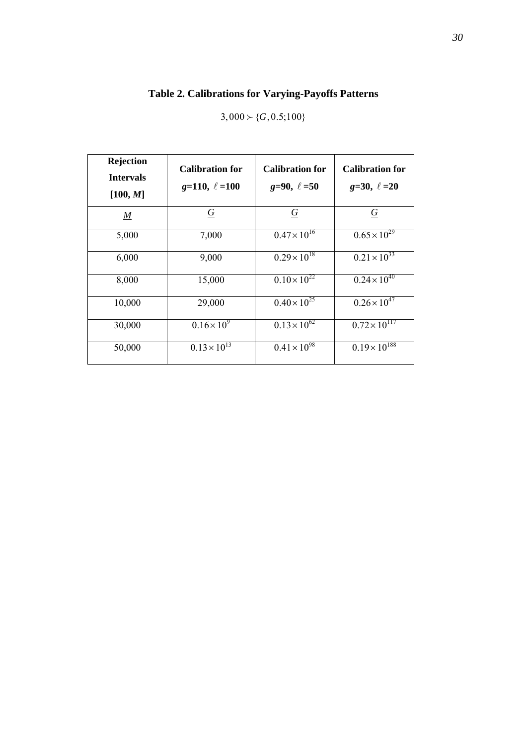# **Table 2. Calibrations for Varying-Payoffs Patterns**

 $3,000 \succ \{G, 0.5; 100\}$ 

| <b>Rejection</b><br><b>Intervals</b><br>[100, M] | <b>Calibration for</b><br>$g=110, \ell=100$ | <b>Calibration for</b><br>$g=90, \ell=50$ | <b>Calibration for</b><br>$g=30, \ell=20$ |
|--------------------------------------------------|---------------------------------------------|-------------------------------------------|-------------------------------------------|
| $\underline{M}$                                  | $\overline{G}$                              | $\overline{G}$                            | $\overline{G}$                            |
| 5,000                                            | 7,000                                       | $0.47 \times 10^{16}$                     | $0.65 \times 10^{29}$                     |
| 6,000                                            | 9,000                                       | $0.29 \times 10^{18}$                     | $0.21 \times 10^{33}$                     |
| 8,000                                            | 15,000                                      | $0.10 \times 10^{22}$                     | $0.24 \times 10^{40}$                     |
| 10,000                                           | 29,000                                      | $0.40 \times 10^{25}$                     | $0.26 \times 10^{47}$                     |
| 30,000                                           | $0.16 \times 10^{9}$                        | $0.13 \times 10^{62}$                     | $0.72 \times 10^{117}$                    |
| 50,000                                           | $0.13 \times 10^{13}$                       | $0.41 \times 10^{98}$                     | $0.19 \times 10^{188}$                    |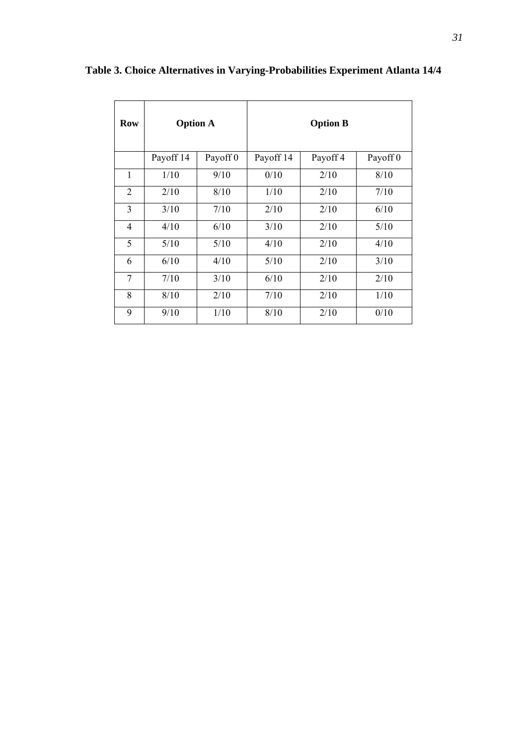| <b>Row</b>     | <b>Option A</b>                  |      | <b>Option B</b> |          |      |  |  |
|----------------|----------------------------------|------|-----------------|----------|------|--|--|
|                | Payoff 14<br>Payoff <sub>0</sub> |      | Payoff 14       | Payoff 4 |      |  |  |
| 1              | 9/10<br>1/10                     |      | 0/10            | 2/10     | 8/10 |  |  |
| $\overline{2}$ | 2/10                             | 8/10 | 1/10            | 2/10     | 7/10 |  |  |
| 3              | 3/10<br>7/10                     |      | 2/10            | 2/10     | 6/10 |  |  |
| $\overline{4}$ | 4/10<br>6/10                     |      | 3/10            | 2/10     |      |  |  |
| 5              | 5/10                             | 5/10 | 4/10            | 2/10     | 4/10 |  |  |
| 6              | 6/10                             | 4/10 | 5/10            | 2/10     | 3/10 |  |  |
| 7              | 7/10                             | 3/10 | 6/10            | 2/10     | 2/10 |  |  |
| 8              | 8/10                             | 2/10 | 7/10            | 2/10     | 1/10 |  |  |
| 9              | 9/10<br>1/10                     |      | 8/10            | 2/10     | 0/10 |  |  |

**Table 3. Choice Alternatives in Varying-Probabilities Experiment Atlanta 14/4**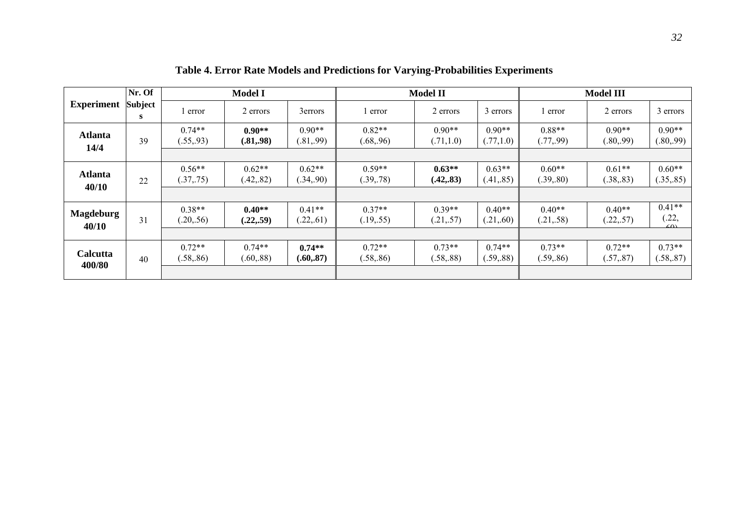|                           | Nr. Of              |                        | <b>Model I</b>         |                        | <b>Model II</b>        |                        |                        | <b>Model III</b>       |                        |                                 |
|---------------------------|---------------------|------------------------|------------------------|------------------------|------------------------|------------------------|------------------------|------------------------|------------------------|---------------------------------|
| <b>Experiment</b>         | <b>Subject</b><br>S | error                  | 2 errors               | 3errors                | l error                | 2 errors               | 3 errors               | error                  | 2 errors               | 3 errors                        |
| <b>Atlanta</b><br>14/4    | 39                  | $0.74**$<br>(.55, .93) | $0.90**$<br>(.81, .98) | $0.90**$<br>(.81, .99) | $0.82**$<br>(.68, .96) | $0.90**$<br>(.71,1.0)  | $0.90**$<br>(.77,1.0)  | $0.88**$<br>(.77, .99) | $0.90**$<br>(.80, .99) | $0.90**$<br>(.80, .99)          |
|                           |                     |                        |                        |                        |                        |                        |                        |                        |                        |                                 |
| <b>Atlanta</b><br>40/10   | 22                  | $0.56**$<br>(.37, .75) | $0.62**$<br>(.42, .82) | $0.62**$<br>(.34, .90) | $0.59**$<br>(.39, .78) | $0.63**$<br>(.42, .83) | $0.63**$<br>(.41, .85) | $0.60**$<br>(.39, .80) | $0.61**$<br>(.38, .83) | $0.60**$<br>(.35, .85)          |
|                           |                     |                        |                        |                        |                        |                        |                        |                        |                        |                                 |
| <b>Magdeburg</b><br>40/10 | 31                  | $0.38**$<br>(.20, .56) | $0.40**$<br>(.22, .59) | $0.41**$<br>(.22, .61) | $0.37**$<br>(.19, .55) | $0.39**$<br>(.21, .57) | $0.40**$<br>(.21, .60) | $0.40**$<br>(.21, .58) | $0.40**$<br>(.22, .57) | $0.41**$<br>(.22,<br>$\sqrt{2}$ |
|                           |                     |                        |                        |                        |                        |                        |                        |                        |                        |                                 |
| Calcutta<br>400/80        | 40                  | $0.72**$<br>(.58, .86) | $0.74**$<br>(.60, .88) | $0.74**$<br>(.60, .87) | $0.72**$<br>(.58, .86) | $0.73**$<br>(.58, .88) | $0.74**$<br>(.59, .88) | $0.73**$<br>(.59, .86) | $0.72**$<br>(.57, .87) | $0.73**$<br>(.58, .87)          |
|                           |                     |                        |                        |                        |                        |                        |                        |                        |                        |                                 |

 **Table 4. Error Rate Models and Predictions for Varying-Probabilities Experiments**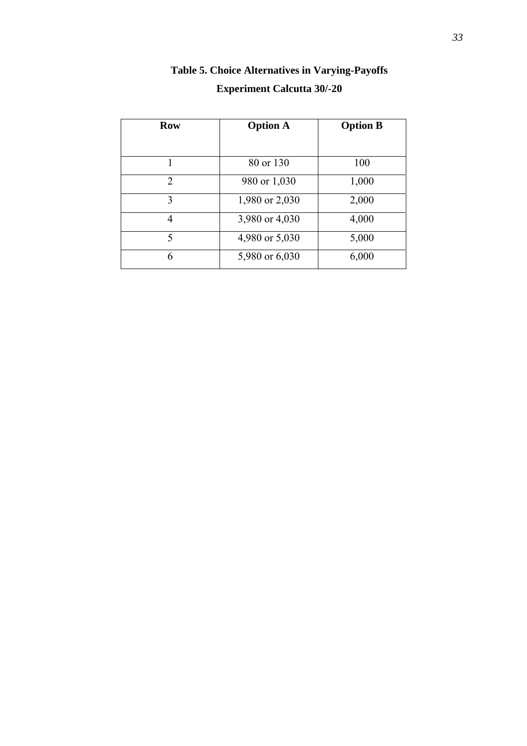| <b>Row</b> | <b>Option A</b> | <b>Option B</b> |  |  |
|------------|-----------------|-----------------|--|--|
| 1          | 80 or 130       | 100             |  |  |
| 2          | 980 or 1,030    | 1,000           |  |  |
| 3          | 1,980 or 2,030  | 2,000           |  |  |
| 4          | 3,980 or 4,030  | 4,000           |  |  |
| 5          | 4,980 or 5,030  | 5,000           |  |  |
| 6          | 5,980 or 6,030  | 6,000           |  |  |

# **Table 5. Choice Alternatives in Varying-Payoffs Experiment Calcutta 30/-20**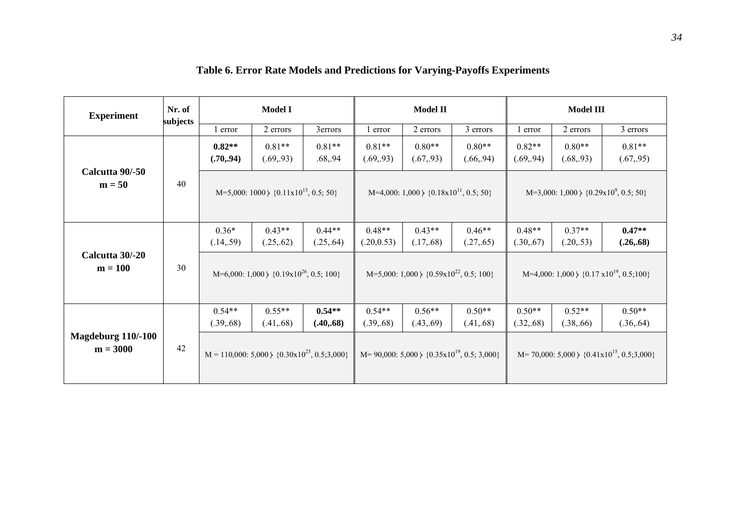| <b>Experiment</b>                | Nr. of<br>subjects | <b>Model I</b>                                         |                        |                        | <b>Model II</b>                                            |                        |                        | <b>Model III</b>                                       |                        |                        |
|----------------------------------|--------------------|--------------------------------------------------------|------------------------|------------------------|------------------------------------------------------------|------------------------|------------------------|--------------------------------------------------------|------------------------|------------------------|
|                                  |                    | l error                                                | 2 errors               | 3errors                | l error                                                    | 2 errors               | 3 errors               | 1 error                                                | 2 errors               | 3 errors               |
| Calcutta 90/-50<br>$m = 50$      | 40                 | $0.82**$<br>(.70, .94)                                 | $0.81**$<br>(.69, .93) | $0.81**$<br>.68, .94   | $0.81**$<br>(.69, .93)                                     | $0.80**$<br>(.67, .93) | $0.80**$<br>(.66, .94) | $0.82**$<br>(.69, .94)                                 | $0.80**$<br>(.68, .93) | $0.81**$<br>(.67, .95) |
|                                  |                    | M=5,000: 1000 \{0.11x10 <sup>13</sup> , 0.5; 50}       |                        |                        | $M=4,000: 1,000 \nbrace$ {0.18x10 <sup>11</sup> , 0.5; 50} |                        |                        | M=3,000: 1,000 \{0.29x10 <sup>9</sup> , 0.5; 50}       |                        |                        |
| Calcutta 30/-20<br>$m = 100$     |                    | $0.36*$<br>(.14, .59)                                  | $0.43**$<br>(.25, .62) | $0.44**$<br>(.25, .64) | $0.48**$<br>(.20, 0.53)                                    | $0.43**$<br>(.17, .68) | $0.46**$<br>(.27, .65) | $0.48**$<br>(.30, .67)                                 | $0.37**$<br>(.20, .53) | $0.47**$<br>(.26, .68) |
|                                  | 30                 | M=6,000: $1,000 \}$ {0.19x10 <sup>26</sup> , 0.5; 100} |                        |                        | M=5,000: $1,000 \nless 10.59 \times 10^{22}$ , 0.5; 100}   |                        |                        | M=4,000: $1,000 \}$ {0.17 x10 <sup>19</sup> , 0.5;100} |                        |                        |
| Magdeburg 110/-100<br>$m = 3000$ |                    | $0.54**$<br>(.39, .68)                                 | $0.55**$<br>(.41, .68) | $0.54**$<br>(.40, .68) | $0.54**$<br>(.39, .68)                                     | $0.56**$<br>(.43, .69) | $0.50**$<br>(.41, .68) | $0.50**$<br>(.32, .68)                                 | $0.52**$<br>(.38, .66) | $0.50**$<br>(.36, .64) |
|                                  | 42                 | $M = 110,000$ : 5,000 $\{0.30x10^{23}, 0.5; 3,000\}$   |                        |                        | M= 90,000: 5,000 \{ $0.35 \times 10^{19}$ , 0.5; 3,000}    |                        |                        | $M=70,000: 5,000 \nbrace \{0.41x10^{15}, 0.5; 3,000\}$ |                        |                        |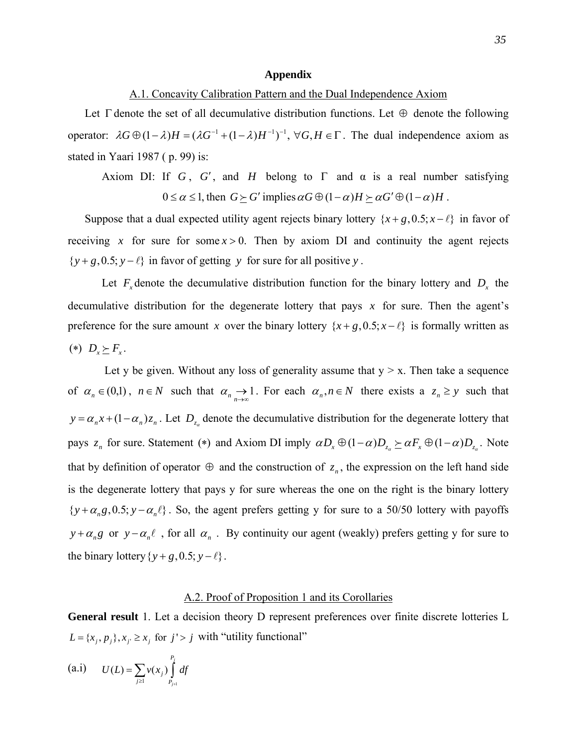#### **Appendix**

## A.1. Concavity Calibration Pattern and the Dual Independence Axiom

Let  $\Gamma$  denote the set of all decumulative distribution functions. Let  $\Theta$  denote the following operator:  $\lambda G \oplus (1 - \lambda) H = (\lambda G^{-1} + (1 - \lambda) H^{-1})^{-1}$ ,  $\forall G, H \in \Gamma$ . The dual independence axiom as stated in Yaari 1987 ( p. 99) is:

Axiom DI: If *G*, *G'*, and *H* belong to  $\Gamma$  and  $\alpha$  is a real number satisfying  $0 \le \alpha \le 1$ , then  $G \succeq G'$  implies  $\alpha G \oplus (1 - \alpha)H \succeq \alpha G' \oplus (1 - \alpha)H$ .

Suppose that a dual expected utility agent rejects binary lottery  $\{x+g, 0.5; x-\ell\}$  in favor of receiving x for sure for some  $x > 0$ . Then by axiom DI and continuity the agent rejects  $\{y + g, 0.5; y - \ell\}$  in favor of getting y for sure for all positive y.

Let  $F_x$  denote the decumulative distribution function for the binary lottery and  $D_x$  the decumulative distribution for the degenerate lottery that pays  $x$  for sure. Then the agent's preference for the sure amount *x* over the binary lottery  $\{x + g, 0.5; x - \ell\}$  is formally written as (\*)  $D_r \succeq F_r$ .

Let y be given. Without any loss of generality assume that  $y > x$ . Then take a sequence of  $\alpha_n \in (0,1)$ ,  $n \in N$  such that  $\alpha_n \to 1$ . For each  $\alpha_n, n \in N$  there exists a  $z_n \geq y$  such that  $y = \alpha_n x + (1 - \alpha_n) z_n$ . Let  $D_{z_\alpha}$  denote the decumulative distribution for the degenerate lottery that pays  $z_n$  for sure. Statement (\*) and Axiom DI imply  $\alpha D_x \oplus (1-\alpha)D_{z_n} \succeq \alpha F_x \oplus (1-\alpha)D_{z_n}$ . Note that by definition of operator  $\oplus$  and the construction of  $z_n$ , the expression on the left hand side is the degenerate lottery that pays y for sure whereas the one on the right is the binary lottery  $\{y + \alpha_n g, 0.5; y - \alpha_n \ell\}$ . So, the agent prefers getting y for sure to a 50/50 lottery with payoffs  $y + \alpha_n g$  or  $y - \alpha_n \ell$ , for all  $\alpha_n$ . By continuity our agent (weakly) prefers getting y for sure to the binary lottery  $\{y + g, 0.5; y - \ell\}$ .

# A.2. Proof of Proposition 1 and its Corollaries

**General result** 1. Let a decision theory D represent preferences over finite discrete lotteries L  $L = \{x_j, p_j\}, x_j \ge x_j \text{ for } j' > j \text{ with "utility functional" }$ 

(a.i) 
$$
U(L) = \sum_{j \ge 1} v(x_j) \int_{P_{j+1}}^{P_j} df
$$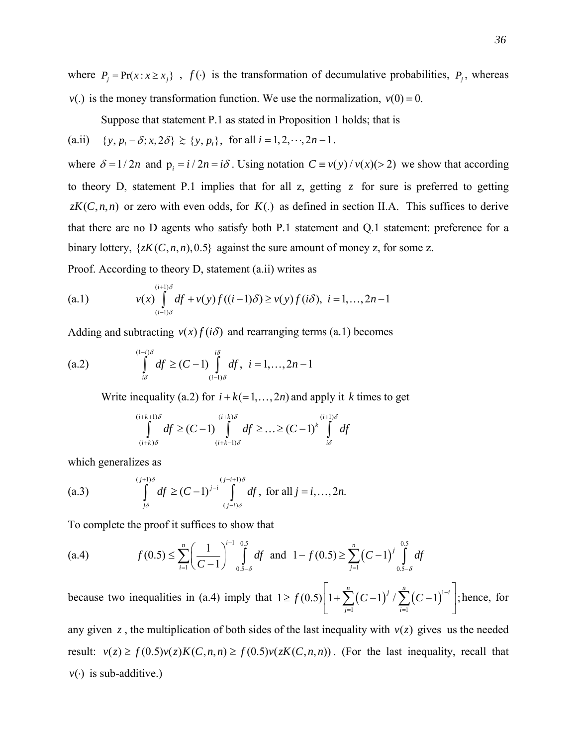where  $P_i = Pr(x : x \ge x_i)$ ,  $f(\cdot)$  is the transformation of decumulative probabilities,  $P_i$ , whereas  $v(.)$  is the money transformation function. We use the normalization,  $v(0) = 0$ .

Suppose that statement P.1 as stated in Proposition 1 holds; that is

(a.ii)  $\{y, p_i - \delta; x, 2\delta\} \geq \{y, p_i\}$ , for all  $i = 1, 2, \dots, 2n - 1$ .

where  $\delta = 1/2n$  and  $p_i = i/2n = i\delta$ . Using notation  $C = v(y)/v(x) > 2$  we show that according to theory D, statement P.1 implies that for all z, getting  $\zeta$  for sure is preferred to getting  $zK(C, n, n)$  or zero with even odds, for  $K(.)$  as defined in section II.A. This suffices to derive that there are no D agents who satisfy both P.1 statement and Q.1 statement: preference for a binary lottery,  $\{zK(C, n, n), 0.5\}$  against the sure amount of money z, for some z.

Proof. According to theory D, statement (a.ii) writes as

(a.1) 
$$
v(x) \int_{(i-1)\delta}^{(i+1)\delta} df + v(y) f((i-1)\delta) \ge v(y) f(i\delta), \ \ i = 1,..., 2n-1
$$

Adding and subtracting  $v(x) f(i\delta)$  and rearranging terms (a.1) becomes

(a.2) 
$$
\int_{i\delta}^{(1+i)\delta} df \ge (C-1) \int_{(i-1)\delta}^{i\delta} df, \ \ i = 1, ..., 2n-1
$$

Write inequality (a.2) for  $i + k (= 1, ..., 2n)$  and apply it *k* times to get

$$
\int_{(i+k)\delta}^{(i+k+1)\delta} df \ge (C-1) \int_{(i+k-1)\delta}^{(i+k)\delta} df \ge \dots \ge (C-1)^k \int_{i\delta}^{(i+1)\delta} df
$$

which generalizes as

(a.3) 
$$
\int_{j\delta}^{(j+1)\delta} df \ge (C-1)^{j-i} \int_{(j-i)\delta}^{(j-i+1)\delta} df, \text{ for all } j = i,..., 2n.
$$

To complete the proof it suffices to show that

$$
(a.4) \t f(0.5) \le \sum_{i=1}^{n} \left(\frac{1}{C-1}\right)^{i-1} \int_{0.5-\delta}^{0.5} df \text{ and } 1 - f(0.5) \ge \sum_{j=1}^{n} \left(C-1\right)^{j} \int_{0.5-\delta}^{0.5} df
$$

because two inequalities in (a.4) imply that  $1 \ge f(0.5) \left[1 + \sum_{r=1}^{\infty} (C-1)^{r} / \sum_{r=1}^{\infty} (C-1)^{r} \right]$  $i=1$  $1 \ge f(0.5) \left[ 1 + \sum (C-1)^{7} / \sum (C-1)^{7} \right]$  $\sum_{i=1}^{n}$   $(a + 1)$   $\sum_{i=1}^{n}$  $j=1$  *i*  $f(0.5)$   $1+\sum (C-1)^j/\sum (C-1)^{j-1}$  $=1$   $i=$ ;  $\geq f(0.5) \left[ 1 + \sum_{j=1}^{n} (C-1)^j / \sum_{i=1}^{n} (C-1)^{1-i} \right]$ ; hence, for

any given z, the multiplication of both sides of the last inequality with  $v(z)$  gives us the needed result:  $v(z) \ge f(0.5)v(z)K(C, n, n) \ge f(0.5)v(zK(C, n, n))$ . (For the last inequality, recall that  $v(\cdot)$  is sub-additive.)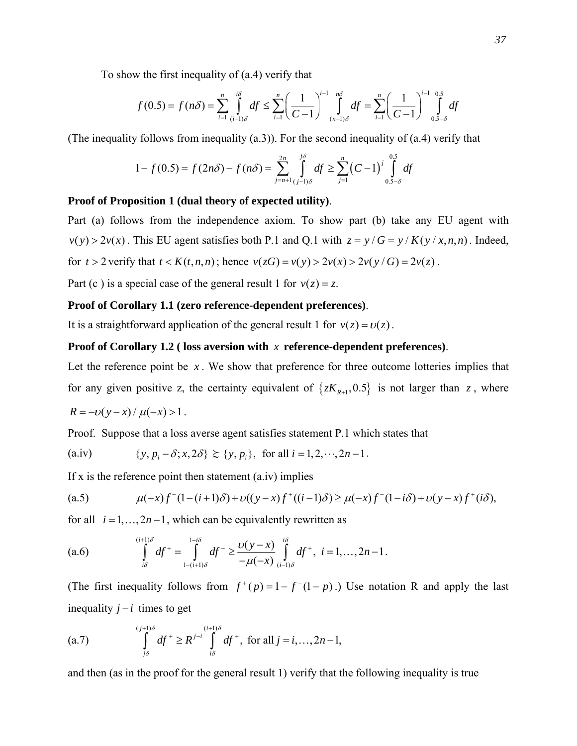To show the first inequality of (a.4) verify that

$$
f(0.5) = f(n\delta) = \sum_{i=1}^{n} \int_{(i-1)\delta}^{i\delta} df \le \sum_{i=1}^{n} \left(\frac{1}{C-1}\right)^{i-1} \int_{(n-1)\delta}^{n\delta} df = \sum_{i=1}^{n} \left(\frac{1}{C-1}\right)^{i-1} \int_{0.5-\delta}^{0.5} df
$$

(The inequality follows from inequality (a.3)). For the second inequality of (a.4) verify that

$$
1 - f(0.5) = f(2n\delta) - f(n\delta) = \sum_{j=n+1}^{2n} \int_{(j-1)\delta}^{j\delta} df \ge \sum_{j=1}^{n} (C-1)^j \int_{0.5-\delta}^{0.5} df
$$

# **Proof of Proposition 1 (dual theory of expected utility)**.

Part (a) follows from the independence axiom. To show part (b) take any EU agent with  $v(y) > 2v(x)$ . This EU agent satisfies both P.1 and Q.1 with  $z = y/G = y/K(y/x, n, n)$ . Indeed, for  $t > 2$  verify that  $t < K(t, n, n)$ ; hence  $v(zG) = v(y) > 2v(x) > 2v(y/G) = 2v(z)$ .

Part (c) is a special case of the general result 1 for  $v(z) = z$ .

## **Proof of Corollary 1.1 (zero reference-dependent preferences)**.

It is a straightforward application of the general result 1 for  $v(z) = v(z)$ .

## **Proof of Corollary 1.2 ( loss aversion with** *x* **reference-dependent preferences)**.

Let the reference point be *x*. We show that preference for three outcome lotteries implies that for any given positive z, the certainty equivalent of  $\{zK_{R+1}, 0.5\}$  is not larger than z, where

$$
R = -v(y-x)/\mu(-x) > 1.
$$

Proof. Suppose that a loss averse agent satisfies statement P.1 which states that

(a.iv) 
$$
\{y, p_i - \delta; x, 2\delta\} \ge \{y, p_i\}
$$
, for all  $i = 1, 2, \dots, 2n - 1$ .

If x is the reference point then statement  $(a$ .iv) implies

(a.5) 
$$
\mu(-x)f^{-}(1-(i+1)\delta) + \nu((y-x)f^{+}((i-1)\delta) \ge \mu(-x)f^{-}(1-i\delta) + \nu(y-x)f^{+}(i\delta),
$$

for all  $i = 1, \ldots, 2n - 1$ , which can be equivalently rewritten as

(a.6) 
$$
\int_{i\delta}^{(i+1)\delta} df^{+} = \int_{1-(i+1)\delta}^{1-i\delta} df^{-} \geq \frac{\nu(y-x)}{-\mu(-x)} \int_{(i-1)\delta}^{i\delta} df^{+}, \quad i = 1, ..., 2n-1.
$$

(The first inequality follows from  $f^+(p) = 1 - f^-(1-p)$ .) Use notation R and apply the last inequality  $j - i$  times to get

(a.7) 
$$
\int_{j\delta}^{(j+1)\delta} df^+ \geq R^{j-i} \int_{i\delta}^{(i+1)\delta} df^+, \text{ for all } j = i, ..., 2n-1,
$$

and then (as in the proof for the general result 1) verify that the following inequality is true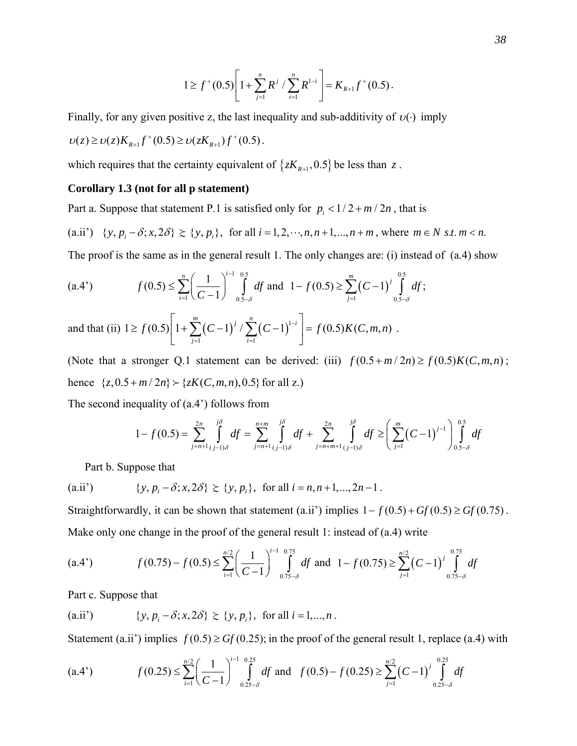$$
1 \geq f^+(0.5) \left[ 1 + \sum_{j=1}^n R^j / \sum_{i=1}^n R^{1-i} \right] = K_{R+1} f^+(0.5).
$$

Finally, for any given positive z, the last inequality and sub-additivity of  $v(\cdot)$  imply

$$
\upsilon(z) \geq \upsilon(z) K_{R+1} f^{+}(0.5) \geq \upsilon(z K_{R+1}) f^{+}(0.5).
$$

which requires that the certainty equivalent of  $\{zK_{R+1},0.5\}$  be less than  $z$ .

## **Corollary 1.3 (not for all p statement)**

Part a. Suppose that statement P.1 is satisfied only for  $p_i < 1/2 + m/2n$ , that is

(a.ii')  $\{y, p_i - \delta; x, 2\delta\} \succeq \{y, p_i\}$ , for all  $i = 1, 2, \dots, n, n+1, \dots, n+m$ , where  $m \in N \text{ s.t. } m < n$ .

The proof is the same as in the general result 1. The only changes are: (i) instead of (a.4) show

$$
(a.4') \qquad f(0.5) \le \sum_{i=1}^{n} \left(\frac{1}{C-1}\right)^{i-1} \int_{0.5-\delta}^{0.5} df \text{ and } 1 - f(0.5) \ge \sum_{j=1}^{m} \left(C-1\right)^{j} \int_{0.5-\delta}^{0.5} df;
$$

and that (ii)  $1 \ge f(0.5) \left[1 + \sum_{r=0}^{\infty} (C-1)^{r} / \sum_{r=0}^{\infty} (C-1)^{1} \right]$  $i=1$  $1 \ge f(0.5) \left[ 1 + \sum (C-1)^{7} / \sum (C-1)^{1-r} \right] = f(0.5) K(C,m,$  $\sum_{i=1}^{m}$  *(c)*  $\sum_{i=1}^{n}$  *j*  $\sum_{i=1}^{n}$  *(c)*  $\sum_{i=1}^{n}$ *j i*  $f(0.5)$   $1 + \sum_{r=0}^{\infty} (C-1)^{r} / \sum_{r=0}^{\infty} (C-1)^{1-i}$   $= f(0.5)K(C, m, n)$  $=1$   $i=$  $\geq f(0.5)\left[1+\sum_{j=1}^{m}(C-1)^{j}/\sum_{i=1}^{n}(C-1)^{1-i}\right]=f(0.5)K(C,m,n)$ .

(Note that a stronger Q.1 statement can be derived: (iii)  $f(0.5 + m/2n) \ge f(0.5)K(C, m, n)$ ; hence  $\{z, 0.5 + m/2n\} \rightarrow \{zK(C, m, n), 0.5\}$  for all z.)

The second inequality of (a.4') follows from

$$
1 - f(0.5) = \sum_{j=n+1}^{2n} \int_{(j-1)\delta}^{j\delta} df = \sum_{j=n+1}^{n+m} \int_{(j-1)\delta}^{j\delta} df + \sum_{j=n+m+1}^{2n} \int_{(j-1)\delta}^{j\delta} df \ge \left(\sum_{j=1}^{m} (C-1)^{j-1}\right) \int_{0.5-\delta}^{0.5} df
$$

Part b. Suppose that

(a.ii') 
$$
\{y, p_i - \delta; x, 2\delta\} \succcurlyeq \{y, p_i\}, \text{ for all } i = n, n+1, ..., 2n-1.
$$

Straightforwardly, it can be shown that statement (a.ii') implies  $1 - f(0.5) + Gf(0.5) \geq Gf(0.75)$ . Make only one change in the proof of the general result 1: instead of (a.4) write

$$
(a.4') \qquad f(0.75) - f(0.5) \le \sum_{i=1}^{n/2} \left(\frac{1}{C-1}\right)^{i-1} \int_{0.75-\delta}^{0.75} df \text{ and } 1 - f(0.75) \ge \sum_{j=1}^{n/2} \left(C-1\right)^j \int_{0.75-\delta}^{0.75} df
$$

Part c. Suppose that

(a.ii') 
$$
\{y, p_i - \delta; x, 2\delta\} \succcurlyeq \{y, p_i\}, \text{ for all } i = 1, ..., n.
$$

Statement (a.ii') implies  $f(0.5) \geq Gf(0.25)$ ; in the proof of the general result 1, replace (a.4) with

$$
(a.4') \qquad f(0.25) \le \sum_{i=1}^{n/2} \left(\frac{1}{C-1}\right)^{i-1} \int_{0.25-\delta}^{0.25} df \text{ and } f(0.5) - f(0.25) \ge \sum_{j=1}^{n/2} \left(C-1\right)^j \int_{0.25-\delta}^{0.25} df
$$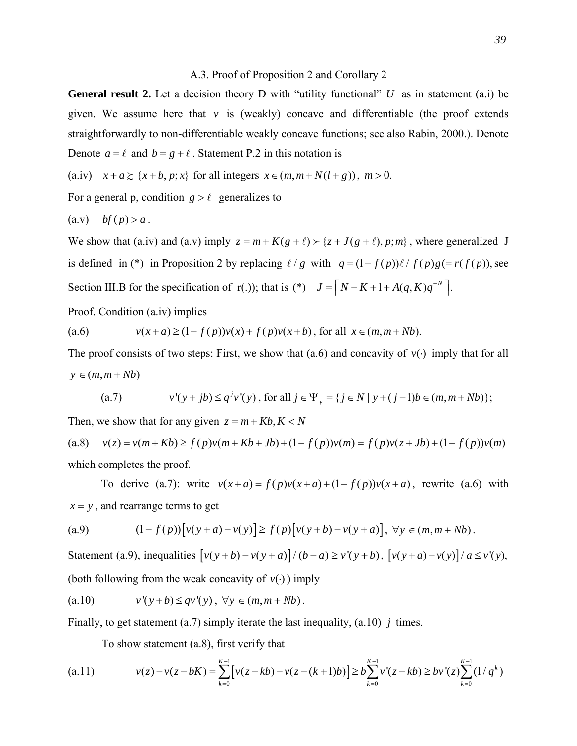## A.3. Proof of Proposition 2 and Corollary 2

**General result 2.** Let a decision theory D with "utility functional" *U* as in statement (a.i) be given. We assume here that  $\nu$  is (weakly) concave and differentiable (the proof extends straightforwardly to non-differentiable weakly concave functions; see also Rabin, 2000.). Denote Denote  $a = \ell$  and  $b = g + \ell$ . Statement P.2 in this notation is

(a.iv)  $x + a \geq {x + b, p; x}$  for all integers  $x \in (m, m + N(l + g))$ ,  $m > 0$ .

For a general p, condition  $g > l$  generalizes to

$$
(a.v) \tbf{b}f(p) > a.
$$

We show that (a.iv) and (a.v) imply  $z = m + K(g + \ell) > \{z + J(g + \ell), p; m\}$ , where generalized J is defined in (\*) in Proposition 2 by replacing  $\ell/g$  with  $q = (1 - f(p))\ell/f(p)g = r(f(p))$ , see Section III.B for the specification of r(.)); that is (\*)  $J = |N-K+1+A(q,K)q^{-N}|$ .

Proof. Condition (a.iv) implies

(a.6) 
$$
v(x+a) \ge (1 - f(p))v(x) + f(p)v(x+b), \text{ for all } x \in (m, m + Nb).
$$

The proof consists of two steps: First, we show that (a.6) and concavity of  $v(\cdot)$  imply that for all  $y \in (m, m + Nb)$ 

(a.7) 
$$
v'(y+jb) \le q^j v'(y), \text{ for all } j \in \Psi_y = \{ j \in N \mid y + (j-1)b \in (m, m + Nb) \};
$$

Then, we show that for any given  $z = m + Kb$ ,  $K < N$ 

(a.8)  $v(z) = v(m + Kb) \ge f(p)v(m + Kb + Jb) + (1 - f(p))v(m) = f(p)v(z + Jb) + (1 - f(p))v(m)$ which completes the proof.

To derive (a.7): write  $v(x+a) = f(p)v(x+a) + (1-f(p))v(x+a)$ , rewrite (a.6) with  $x = y$ , and rearrange terms to get

(a.9) 
$$
(1 - f(p)) [v(y + a) - v(y)] \ge f(p) [v(y + b) - v(y + a)], \forall y \in (m, m + Nb).
$$

Statement (a.9), inequalities  $\left[v(y+b)-v(y+a)\right]/(b-a) \ge v'(y+b)$ ,  $\left[v(y+a)-v(y)\right]/a \le v'(y)$ , (both following from the weak concavity of  $v(\cdot)$ ) imply

$$
(a.10) \t v'(y+b) \le qv'(y), \ \forall y \in (m, m + Nb).
$$

Finally, to get statement (a.7) simply iterate the last inequality, (a.10) *j* times.

To show statement (a.8), first verify that

$$
(a.11) \t v(z) - v(z - bK) = \sum_{k=0}^{K-1} \left[ v(z - kb) - v(z - (k+1)b) \right] \ge b \sum_{k=0}^{K-1} v'(z - kb) \ge bv'(z) \sum_{k=0}^{K-1} (1/q^k)
$$